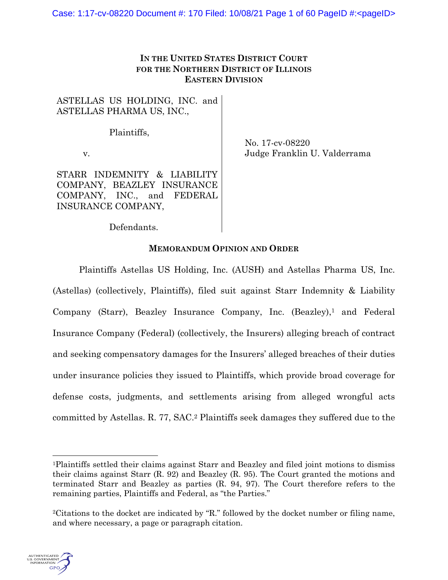# **IN THE UNITED STATES DISTRICT COURT FOR THE NORTHERN DISTRICT OF ILLINOIS EASTERN DIVISION**

ASTELLAS US HOLDING, INC. and ASTELLAS PHARMA US, INC.,

Plaintiffs,

v.

No. 17-cv-08220 Judge Franklin U. Valderrama

STARR INDEMNITY & LIABILITY COMPANY, BEAZLEY INSURANCE COMPANY, INC., and FEDERAL INSURANCE COMPANY,

Defendants.

# **MEMORANDUM OPINION AND ORDER**

Plaintiffs Astellas US Holding, Inc. (AUSH) and Astellas Pharma US, Inc. (Astellas) (collectively, Plaintiffs), filed suit against Starr Indemnity & Liability Company (Starr), Beazley Insurance Company, Inc. (Beazley),<sup>1</sup> and Federal Insurance Company (Federal) (collectively, the Insurers) alleging breach of contract and seeking compensatory damages for the Insurers' alleged breaches of their duties under insurance policies they issued to Plaintiffs, which provide broad coverage for defense costs, judgments, and settlements arising from alleged wrongful acts committed by Astellas. R. 77, SAC.2 Plaintiffs seek damages they suffered due to the

<sup>2</sup>Citations to the docket are indicated by "R." followed by the docket number or filing name, and where necessary, a page or paragraph citation.



<sup>1</sup>Plaintiffs settled their claims against Starr and Beazley and filed joint motions to dismiss their claims against Starr (R. 92) and Beazley (R. 95). The Court granted the motions and terminated Starr and Beazley as parties (R. 94, 97). The Court therefore refers to the remaining parties, Plaintiffs and Federal, as "the Parties."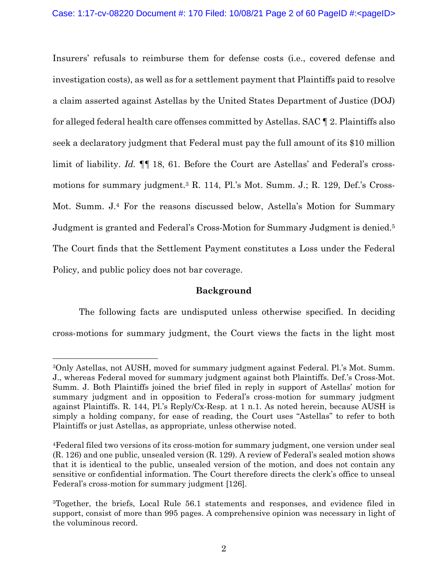Insurers' refusals to reimburse them for defense costs (i.e., covered defense and investigation costs), as well as for a settlement payment that Plaintiffs paid to resolve a claim asserted against Astellas by the United States Department of Justice (DOJ) for alleged federal health care offenses committed by Astellas. SAC ¶ 2. Plaintiffs also seek a declaratory judgment that Federal must pay the full amount of its \$10 million limit of liability. *Id.*  $\P\P$  18, 61. Before the Court are Astellas' and Federal's crossmotions for summary judgment.3 R. 114, Pl.'s Mot. Summ. J.; R. 129, Def.'s Cross-Mot. Summ. J.4 For the reasons discussed below, Astella's Motion for Summary Judgment is granted and Federal's Cross-Motion for Summary Judgment is denied.5 The Court finds that the Settlement Payment constitutes a Loss under the Federal Policy, and public policy does not bar coverage.

## **Background**

The following facts are undisputed unless otherwise specified. In deciding cross-motions for summary judgment, the Court views the facts in the light most

<sup>3</sup>Only Astellas, not AUSH, moved for summary judgment against Federal. Pl.'s Mot. Summ. J., whereas Federal moved for summary judgment against both Plaintiffs. Def.'s Cross-Mot. Summ. J. Both Plaintiffs joined the brief filed in reply in support of Astellas' motion for summary judgment and in opposition to Federal's cross-motion for summary judgment against Plaintiffs. R. 144, Pl.'s Reply/Cx-Resp. at 1 n.1. As noted herein, because AUSH is simply a holding company, for ease of reading, the Court uses "Astellas" to refer to both Plaintiffs or just Astellas, as appropriate, unless otherwise noted.

<sup>4</sup>Federal filed two versions of its cross-motion for summary judgment, one version under seal (R. 126) and one public, unsealed version (R. 129). A review of Federal's sealed motion shows that it is identical to the public, unsealed version of the motion, and does not contain any sensitive or confidential information. The Court therefore directs the clerk's office to unseal Federal's cross-motion for summary judgment [126].

<sup>5</sup>Together, the briefs, Local Rule 56.1 statements and responses, and evidence filed in support, consist of more than 995 pages. A comprehensive opinion was necessary in light of the voluminous record.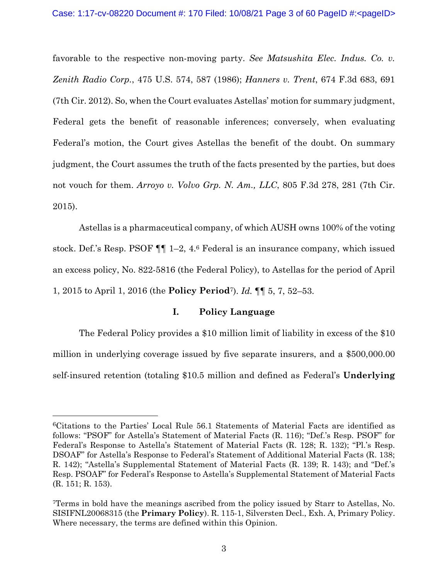favorable to the respective non-moving party. *See Matsushita Elec. Indus. Co. v. Zenith Radio Corp.*, 475 U.S. 574, 587 (1986); *Hanners v. Trent*, 674 F.3d 683, 691 (7th Cir. 2012). So, when the Court evaluates Astellas' motion for summary judgment, Federal gets the benefit of reasonable inferences; conversely, when evaluating Federal's motion, the Court gives Astellas the benefit of the doubt. On summary judgment, the Court assumes the truth of the facts presented by the parties, but does not vouch for them. *Arroyo v. Volvo Grp. N. Am., LLC*, 805 F.3d 278, 281 (7th Cir. 2015).

Astellas is a pharmaceutical company, of which AUSH owns 100% of the voting stock. Def.'s Resp. PSOF ¶¶ 1–2, 4.6 Federal is an insurance company, which issued an excess policy, No. 822-5816 (the Federal Policy), to Astellas for the period of April 1, 2015 to April 1, 2016 (the **Policy Period**7). *Id.* ¶¶ 5, 7, 52–53.

## **I. Policy Language**

The Federal Policy provides a \$10 million limit of liability in excess of the \$10 million in underlying coverage issued by five separate insurers, and a \$500,000.00 self-insured retention (totaling \$10.5 million and defined as Federal's **Underlying** 

<sup>6</sup>Citations to the Parties' Local Rule 56.1 Statements of Material Facts are identified as follows: "PSOF" for Astella's Statement of Material Facts (R. 116); "Def.'s Resp. PSOF" for Federal's Response to Astella's Statement of Material Facts (R. 128; R. 132); "Pl.'s Resp. DSOAF" for Astella's Response to Federal's Statement of Additional Material Facts (R. 138; R. 142); "Astella's Supplemental Statement of Material Facts (R. 139; R. 143); and "Def.'s Resp. PSOAF" for Federal's Response to Astella's Supplemental Statement of Material Facts (R. 151; R. 153).

<sup>7</sup>Terms in bold have the meanings ascribed from the policy issued by Starr to Astellas, No. SISIFNL20068315 (the **Primary Policy**). R. 115-1, Silversten Decl., Exh. A, Primary Policy. Where necessary, the terms are defined within this Opinion.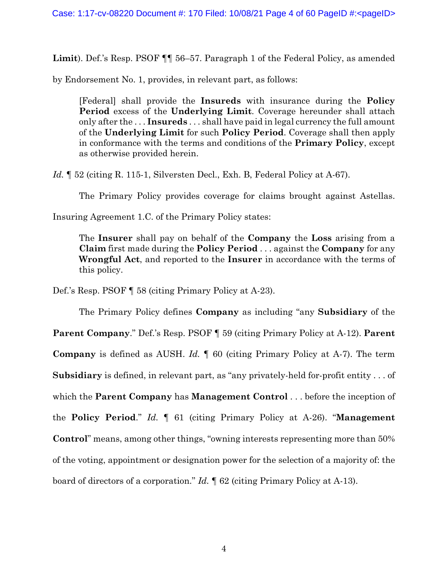Limit). Def.'s Resp. PSOF **[1]** 56–57. Paragraph 1 of the Federal Policy, as amended

by Endorsement No. 1, provides, in relevant part, as follows:

[Federal] shall provide the **Insureds** with insurance during the **Policy Period** excess of the **Underlying Limit**. Coverage hereunder shall attach only after the . . . **Insureds** . . . shall have paid in legal currency the full amount of the **Underlying Limit** for such **Policy Period**. Coverage shall then apply in conformance with the terms and conditions of the **Primary Policy**, except as otherwise provided herein.

Id.  $\parallel$  52 (citing R. 115-1, Silversten Decl., Exh. B, Federal Policy at A-67).

The Primary Policy provides coverage for claims brought against Astellas.

Insuring Agreement 1.C. of the Primary Policy states:

The **Insurer** shall pay on behalf of the **Company** the **Loss** arising from a **Claim** first made during the **Policy Period** . . . against the **Company** for any **Wrongful Act**, and reported to the **Insurer** in accordance with the terms of this policy.

Def.'s Resp. PSOF ¶ 58 (citing Primary Policy at A-23).

The Primary Policy defines **Company** as including "any **Subsidiary** of the **Parent Company**." Def.'s Resp. PSOF ¶ 59 (citing Primary Policy at A-12). **Parent Company** is defined as AUSH. *Id.* ¶ 60 (citing Primary Policy at A-7). The term **Subsidiary** is defined, in relevant part, as "any privately-held for-profit entity . . . of which the **Parent Company** has **Management Control** . . . before the inception of the **Policy Period**." *Id.* ¶ 61 (citing Primary Policy at A-26). "**Management Control**" means, among other things, "owning interests representing more than 50% of the voting, appointment or designation power for the selection of a majority of: the board of directors of a corporation." *Id.* ¶ 62 (citing Primary Policy at A-13).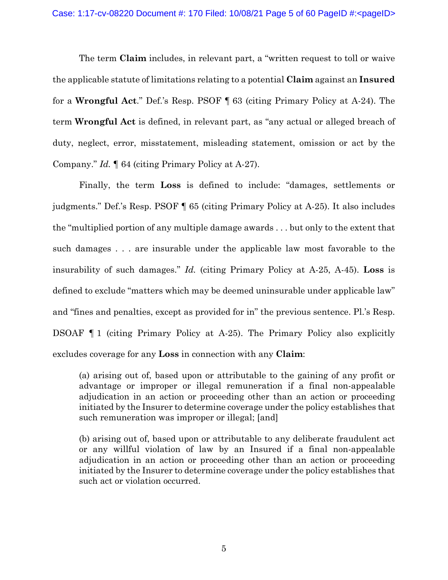The term **Claim** includes, in relevant part, a "written request to toll or waive the applicable statute of limitations relating to a potential **Claim** against an **Insured** for a **Wrongful Act**." Def.'s Resp. PSOF ¶ 63 (citing Primary Policy at A-24). The term **Wrongful Act** is defined, in relevant part, as "any actual or alleged breach of duty, neglect, error, misstatement, misleading statement, omission or act by the Company." *Id.* ¶ 64 (citing Primary Policy at A-27).

Finally, the term **Loss** is defined to include: "damages, settlements or judgments." Def.'s Resp. PSOF ¶ 65 (citing Primary Policy at A-25). It also includes the "multiplied portion of any multiple damage awards . . . but only to the extent that such damages . . . are insurable under the applicable law most favorable to the insurability of such damages." *Id.* (citing Primary Policy at A-25, A-45). **Loss** is defined to exclude "matters which may be deemed uninsurable under applicable law" and "fines and penalties, except as provided for in" the previous sentence. Pl.'s Resp. DSOAF ¶ 1 (citing Primary Policy at A-25). The Primary Policy also explicitly excludes coverage for any **Loss** in connection with any **Claim**:

(a) arising out of, based upon or attributable to the gaining of any profit or advantage or improper or illegal remuneration if a final non-appealable adjudication in an action or proceeding other than an action or proceeding initiated by the Insurer to determine coverage under the policy establishes that such remuneration was improper or illegal; [and]

(b) arising out of, based upon or attributable to any deliberate fraudulent act or any willful violation of law by an Insured if a final non-appealable adjudication in an action or proceeding other than an action or proceeding initiated by the Insurer to determine coverage under the policy establishes that such act or violation occurred.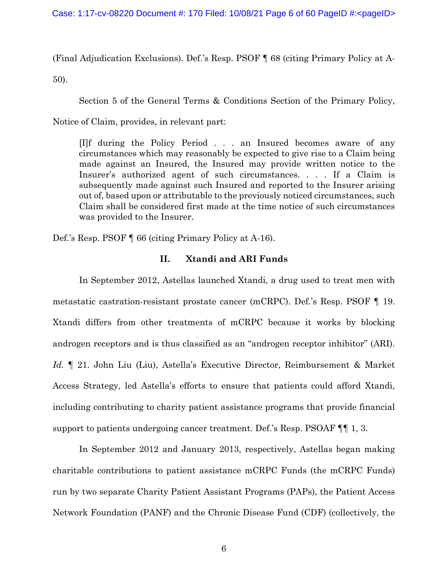(Final Adjudication Exclusions). Def.'s Resp. PSOF ¶ 68 (citing Primary Policy at A-

50).

Section 5 of the General Terms & Conditions Section of the Primary Policy,

Notice of Claim, provides, in relevant part:

[I]f during the Policy Period . . . an Insured becomes aware of any circumstances which may reasonably be expected to give rise to a Claim being made against an Insured, the Insured may provide written notice to the Insurer's authorized agent of such circumstances. . . . If a Claim is subsequently made against such Insured and reported to the Insurer arising out of, based upon or attributable to the previously noticed circumstances, such Claim shall be considered first made at the time notice of such circumstances was provided to the Insurer.

Def.'s Resp. PSOF ¶ 66 (citing Primary Policy at A-16).

# **II. Xtandi and ARI Funds**

In September 2012, Astellas launched Xtandi, a drug used to treat men with metastatic castration-resistant prostate cancer (mCRPC). Def.'s Resp. PSOF ¶ 19. Xtandi differs from other treatments of mCRPC because it works by blocking androgen receptors and is thus classified as an "androgen receptor inhibitor" (ARI). *Id.* ¶ 21. John Liu (Liu), Astella's Executive Director, Reimbursement & Market Access Strategy, led Astella's efforts to ensure that patients could afford Xtandi, including contributing to charity patient assistance programs that provide financial support to patients undergoing cancer treatment. Def.'s Resp. PSOAF ¶¶ 1, 3.

In September 2012 and January 2013, respectively, Astellas began making charitable contributions to patient assistance mCRPC Funds (the mCRPC Funds) run by two separate Charity Patient Assistant Programs (PAPs), the Patient Access Network Foundation (PANF) and the Chronic Disease Fund (CDF) (collectively, the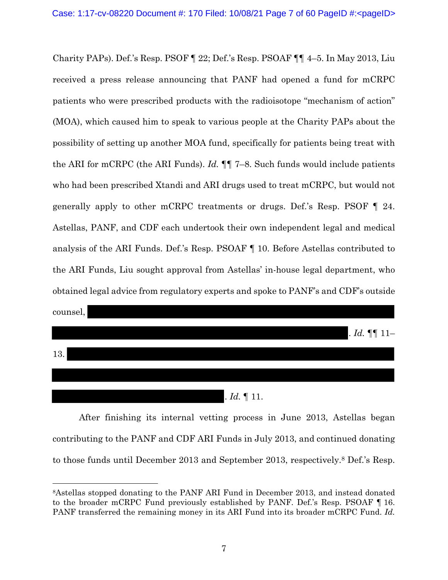Charity PAPs). Def.'s Resp. PSOF ¶ 22; Def.'s Resp. PSOAF ¶¶ 4–5. In May 2013, Liu received a press release announcing that PANF had opened a fund for mCRPC patients who were prescribed products with the radioisotope "mechanism of action" (MOA), which caused him to speak to various people at the Charity PAPs about the possibility of setting up another MOA fund, specifically for patients being treat with the ARI for mCRPC (the ARI Funds). *Id.* ¶¶ 7–8. Such funds would include patients who had been prescribed Xtandi and ARI drugs used to treat mCRPC, but would not generally apply to other mCRPC treatments or drugs. Def.'s Resp. PSOF ¶ 24. Astellas, PANF, and CDF each undertook their own independent legal and medical analysis of the ARI Funds. Def.'s Resp. PSOAF ¶ 10. Before Astellas contributed to the ARI Funds, Liu sought approval from Astellas' in-house legal department, who obtained legal advice from regulatory experts and spoke to PANF's and CDF's outside



After finishing its internal vetting process in June 2013, Astellas began contributing to the PANF and CDF ARI Funds in July 2013, and continued donating to those funds until December 2013 and September 2013, respectively.8 Def.'s Resp.

<sup>8</sup>Astellas stopped donating to the PANF ARI Fund in December 2013, and instead donated to the broader mCRPC Fund previously established by PANF. Def.'s Resp. PSOAF ¶ 16. PANF transferred the remaining money in its ARI Fund into its broader mCRPC Fund. *Id.*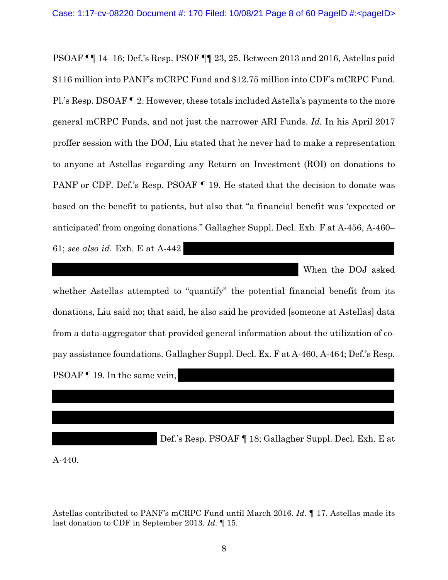PSOAF ¶¶ 14–16; Def.'s Resp. PSOF ¶¶ 23, 25. Between 2013 and 2016, Astellas paid \$116 million into PANF's mCRPC Fund and \$12.75 million into CDF's mCRPC Fund. Pl.'s Resp. DSOAF ¶ 2. However, these totals included Astella's payments to the more general mCRPC Funds, and not just the narrower ARI Funds. *Id.* In his April 2017 proffer session with the DOJ, Liu stated that he never had to make a representation to anyone at Astellas regarding any Return on Investment (ROI) on donations to PANF or CDF. Def.'s Resp. PSOAF  $\P$  19. He stated that the decision to donate was based on the benefit to patients, but also that "a financial benefit was 'expected or anticipated' from ongoing donations." Gallagher Suppl. Decl. Exh. F at A-456, A-460– 61; *see also id.* Exh. E at A-442

When the DOJ asked

whether Astellas attempted to "quantify" the potential financial benefit from its donations, Liu said no; that said, he also said he provided [someone at Astellas] data from a data-aggregator that provided general information about the utilization of copay assistance foundations. Gallagher Suppl. Decl. Ex. F at A-460, A-464; Def.'s Resp. PSOAF ¶ 19. In the same vein,

Def.'s Resp. PSOAF ¶ 18; Gallagher Suppl. Decl. Exh. E at

A-440.

Astellas contributed to PANF's mCRPC Fund until March 2016. *Id.* ¶ 17. Astellas made its last donation to CDF in September 2013. *Id.* ¶ 15.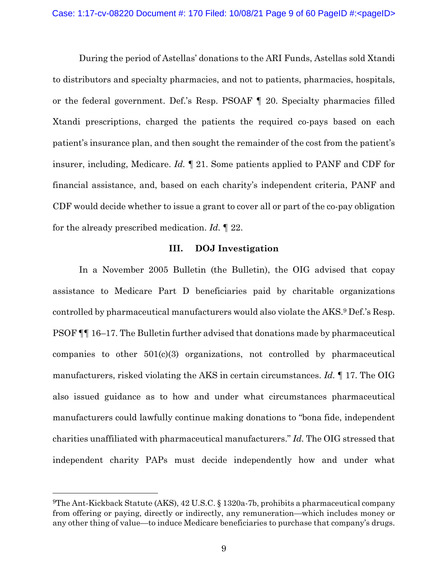During the period of Astellas' donations to the ARI Funds, Astellas sold Xtandi to distributors and specialty pharmacies, and not to patients, pharmacies, hospitals, or the federal government. Def.'s Resp. PSOAF ¶ 20. Specialty pharmacies filled Xtandi prescriptions, charged the patients the required co-pays based on each patient's insurance plan, and then sought the remainder of the cost from the patient's insurer, including, Medicare. *Id.* ¶ 21. Some patients applied to PANF and CDF for financial assistance, and, based on each charity's independent criteria, PANF and CDF would decide whether to issue a grant to cover all or part of the co-pay obligation for the already prescribed medication. *Id.* ¶ 22.

## **III. DOJ Investigation**

In a November 2005 Bulletin (the Bulletin), the OIG advised that copay assistance to Medicare Part D beneficiaries paid by charitable organizations controlled by pharmaceutical manufacturers would also violate the AKS.9 Def.'s Resp. PSOF ¶¶ 16–17. The Bulletin further advised that donations made by pharmaceutical companies to other 501(c)(3) organizations, not controlled by pharmaceutical manufacturers, risked violating the AKS in certain circumstances. *Id.* ¶ 17. The OIG also issued guidance as to how and under what circumstances pharmaceutical manufacturers could lawfully continue making donations to "bona fide, independent charities unaffiliated with pharmaceutical manufacturers." *Id.* The OIG stressed that independent charity PAPs must decide independently how and under what

<sup>9</sup>The Ant-Kickback Statute (AKS), 42 U.S.C. § 1320a-7b, prohibits a pharmaceutical company from offering or paying, directly or indirectly, any remuneration—which includes money or any other thing of value—to induce Medicare beneficiaries to purchase that company's drugs.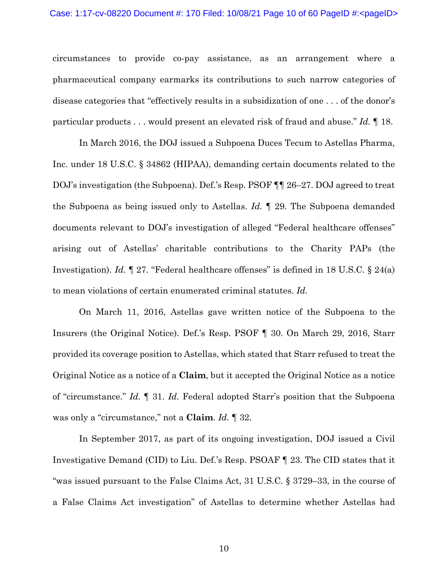circumstances to provide co-pay assistance, as an arrangement where a pharmaceutical company earmarks its contributions to such narrow categories of disease categories that "effectively results in a subsidization of one . . . of the donor's particular products . . . would present an elevated risk of fraud and abuse." *Id.* ¶ 18.

In March 2016, the DOJ issued a Subpoena Duces Tecum to Astellas Pharma, Inc. under 18 U.S.C. § 34862 (HIPAA), demanding certain documents related to the DOJ's investigation (the Subpoena). Def.'s Resp. PSOF ¶¶ 26–27. DOJ agreed to treat the Subpoena as being issued only to Astellas. *Id.* ¶ 29. The Subpoena demanded documents relevant to DOJ's investigation of alleged "Federal healthcare offenses" arising out of Astellas' charitable contributions to the Charity PAPs (the Investigation). *Id.* ¶ 27. "Federal healthcare offenses" is defined in 18 U.S.C. § 24(a) to mean violations of certain enumerated criminal statutes. *Id.*

On March 11, 2016, Astellas gave written notice of the Subpoena to the Insurers (the Original Notice). Def.'s Resp. PSOF ¶ 30. On March 29, 2016, Starr provided its coverage position to Astellas, which stated that Starr refused to treat the Original Notice as a notice of a **Claim**, but it accepted the Original Notice as a notice of "circumstance." *Id.* ¶ 31. *Id.* Federal adopted Starr's position that the Subpoena was only a "circumstance," not a **Claim**. *Id.* ¶ 32.

In September 2017, as part of its ongoing investigation, DOJ issued a Civil Investigative Demand (CID) to Liu. Def.'s Resp. PSOAF ¶ 23. The CID states that it "was issued pursuant to the False Claims Act, 31 U.S.C. § 3729–33, in the course of a False Claims Act investigation" of Astellas to determine whether Astellas had

10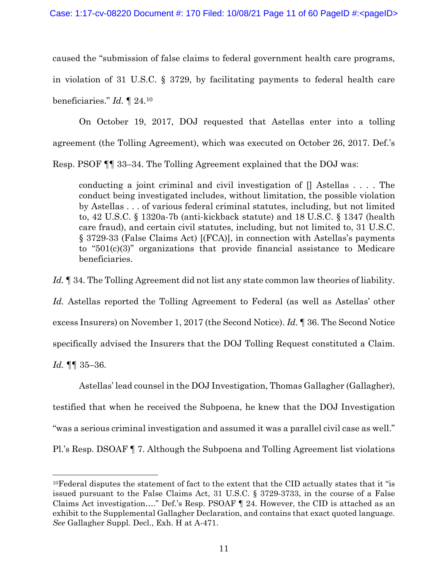caused the "submission of false claims to federal government health care programs,

in violation of 31 U.S.C. § 3729, by facilitating payments to federal health care

beneficiaries." *Id.* ¶ 24.10

On October 19, 2017, DOJ requested that Astellas enter into a tolling agreement (the Tolling Agreement), which was executed on October 26, 2017. Def.'s Resp. PSOF ¶¶ 33–34. The Tolling Agreement explained that the DOJ was:

conducting a joint criminal and civil investigation of  $\parallel$  Astellas .... The conduct being investigated includes, without limitation, the possible violation by Astellas . . . of various federal criminal statutes, including, but not limited to, 42 U.S.C. § 1320a-7b (anti-kickback statute) and 18 U.S.C. § 1347 (health care fraud), and certain civil statutes, including, but not limited to, 31 U.S.C. § 3729-33 (False Claims Act) [(FCA)], in connection with Astellas's payments to "501(c)(3)" organizations that provide financial assistance to Medicare beneficiaries.

*Id.* ¶ 34. The Tolling Agreement did not list any state common law theories of liability.

*Id.* Astellas reported the Tolling Agreement to Federal (as well as Astellas' other excess Insurers) on November 1, 2017 (the Second Notice). *Id.* ¶ 36. The Second Notice specifically advised the Insurers that the DOJ Tolling Request constituted a Claim. *Id.* ¶¶ 35–36.

Astellas' lead counsel in the DOJ Investigation, Thomas Gallagher (Gallagher), testified that when he received the Subpoena, he knew that the DOJ Investigation "was a serious criminal investigation and assumed it was a parallel civil case as well." Pl.'s Resp. DSOAF ¶ 7. Although the Subpoena and Tolling Agreement list violations

 $10$ Federal disputes the statement of fact to the extent that the CID actually states that it "is" issued pursuant to the False Claims Act, 31 U.S.C. § 3729-3733, in the course of a False Claims Act investigation…." Def.'s Resp. PSOAF ¶ 24. However, the CID is attached as an exhibit to the Supplemental Gallagher Declaration, and contains that exact quoted language. *See* Gallagher Suppl. Decl., Exh. H at A-471.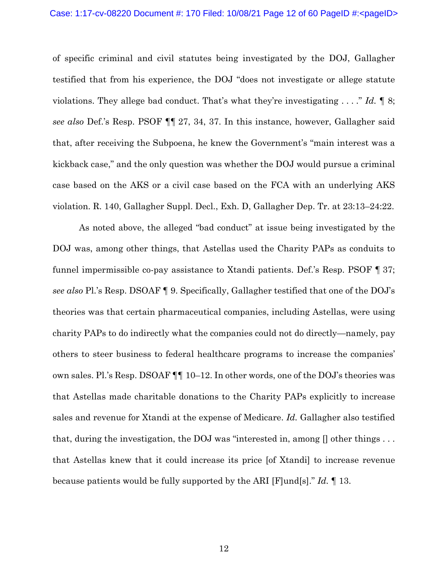of specific criminal and civil statutes being investigated by the DOJ, Gallagher testified that from his experience, the DOJ "does not investigate or allege statute violations. They allege bad conduct. That's what they're investigating . . . ." *Id.* ¶ 8; *see also* Def.'s Resp. PSOF ¶¶ 27, 34, 37. In this instance, however, Gallagher said that, after receiving the Subpoena, he knew the Government's "main interest was a kickback case," and the only question was whether the DOJ would pursue a criminal case based on the AKS or a civil case based on the FCA with an underlying AKS violation. R. 140, Gallagher Suppl. Decl., Exh. D, Gallagher Dep. Tr. at 23:13–24:22.

As noted above, the alleged "bad conduct" at issue being investigated by the DOJ was, among other things, that Astellas used the Charity PAPs as conduits to funnel impermissible co-pay assistance to Xtandi patients. Def.'s Resp. PSOF ¶ 37; *see also* Pl.'s Resp. DSOAF ¶ 9. Specifically, Gallagher testified that one of the DOJ's theories was that certain pharmaceutical companies, including Astellas, were using charity PAPs to do indirectly what the companies could not do directly—namely, pay others to steer business to federal healthcare programs to increase the companies' own sales. Pl.'s Resp. DSOAF ¶¶ 10–12. In other words, one of the DOJ's theories was that Astellas made charitable donations to the Charity PAPs explicitly to increase sales and revenue for Xtandi at the expense of Medicare. *Id.* Gallagher also testified that, during the investigation, the DOJ was "interested in, among [] other things . . . that Astellas knew that it could increase its price [of Xtandi] to increase revenue because patients would be fully supported by the ARI [F]und[s]." *Id.* ¶ 13.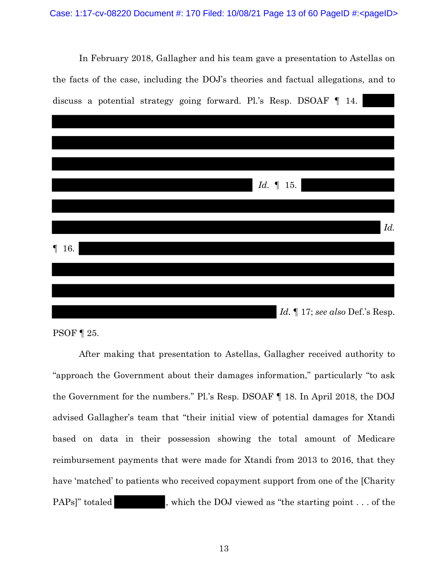In February 2018, Gallagher and his team gave a presentation to Astellas on the facts of the case, including the DOJ's theories and factual allegations, and to discuss a potential strategy going forward. Pl.'s Resp. DSOAF ¶ 14.



PSOF ¶ 25.

After making that presentation to Astellas, Gallagher received authority to "approach the Government about their damages information," particularly "to ask the Government for the numbers." Pl.'s Resp. DSOAF ¶ 18. In April 2018, the DOJ advised Gallagher's team that "their initial view of potential damages for Xtandi based on data in their possession showing the total amount of Medicare reimbursement payments that were made for Xtandi from 2013 to 2016, that they have 'matched' to patients who received copayment support from one of the [Charity PAPs]" totaled , which the DOJ viewed as "the starting point . . . of the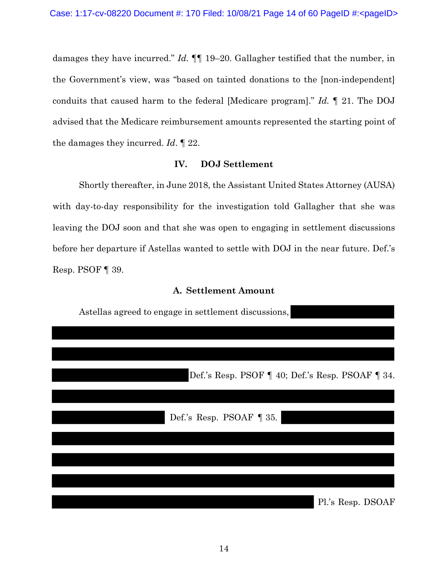damages they have incurred." *Id.* ¶¶ 19–20. Gallagher testified that the number, in the Government's view, was "based on tainted donations to the [non-independent] conduits that caused harm to the federal [Medicare program]." *Id.* ¶ 21. The DOJ advised that the Medicare reimbursement amounts represented the starting point of the damages they incurred. *Id*. ¶ 22.

## **IV. DOJ Settlement**

Shortly thereafter, in June 2018, the Assistant United States Attorney (AUSA) with day-to-day responsibility for the investigation told Gallagher that she was leaving the DOJ soon and that she was open to engaging in settlement discussions before her departure if Astellas wanted to settle with DOJ in the near future. Def.'s Resp. PSOF ¶ 39.

## **A. Settlement Amount**

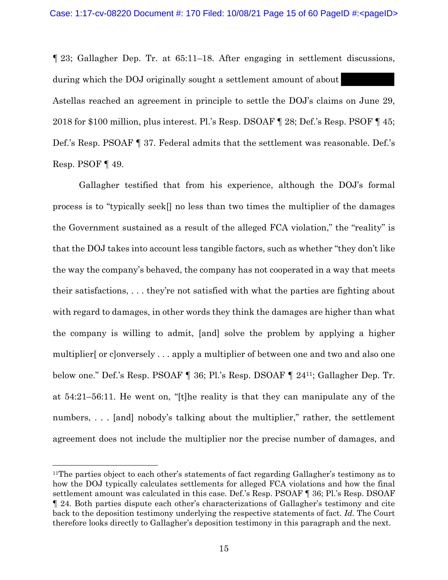¶ 23; Gallagher Dep. Tr. at 65:11–18. After engaging in settlement discussions, during which the DOJ originally sought a settlement amount of about Astellas reached an agreement in principle to settle the DOJ's claims on June 29, 2018 for \$100 million, plus interest. Pl.'s Resp. DSOAF ¶ 28; Def.'s Resp. PSOF ¶ 45; Def.'s Resp. PSOAF ¶ 37. Federal admits that the settlement was reasonable. Def.'s Resp. PSOF ¶ 49.

Gallagher testified that from his experience, although the DOJ's formal process is to "typically seek[] no less than two times the multiplier of the damages the Government sustained as a result of the alleged FCA violation," the "reality" is that the DOJ takes into account less tangible factors, such as whether "they don't like the way the company's behaved, the company has not cooperated in a way that meets their satisfactions, . . . they're not satisfied with what the parties are fighting about with regard to damages, in other words they think the damages are higher than what the company is willing to admit, [and] solve the problem by applying a higher multiplier[ or c]onversely . . . apply a multiplier of between one and two and also one below one." Def.'s Resp. PSOAF ¶ 36; Pl.'s Resp. DSOAF ¶ 2411; Gallagher Dep. Tr. at 54:21–56:11. He went on, "[t]he reality is that they can manipulate any of the numbers, ... [and] nobody's talking about the multiplier," rather, the settlement agreement does not include the multiplier nor the precise number of damages, and

<sup>&</sup>lt;sup>11</sup>The parties object to each other's statements of fact regarding Gallagher's testimony as to how the DOJ typically calculates settlements for alleged FCA violations and how the final settlement amount was calculated in this case. Def.'s Resp. PSOAF ¶ 36; Pl.'s Resp. DSOAF ¶ 24. Both parties dispute each other's characterizations of Gallagher's testimony and cite back to the deposition testimony underlying the respective statements of fact. *Id.* The Court therefore looks directly to Gallagher's deposition testimony in this paragraph and the next.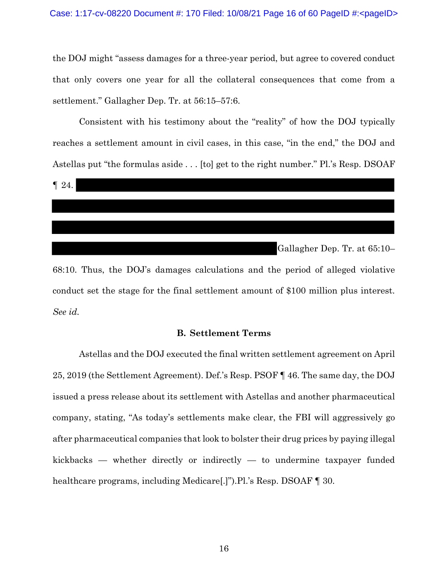the DOJ might "assess damages for a three-year period, but agree to covered conduct that only covers one year for all the collateral consequences that come from a settlement." Gallagher Dep. Tr. at 56:15–57:6.

Consistent with his testimony about the "reality" of how the DOJ typically reaches a settlement amount in civil cases, in this case, "in the end," the DOJ and Astellas put "the formulas aside . . . [to] get to the right number." Pl.'s Resp. DSOAF



68:10. Thus, the DOJ's damages calculations and the period of alleged violative conduct set the stage for the final settlement amount of \$100 million plus interest. *See id.*

#### **B. Settlement Terms**

Astellas and the DOJ executed the final written settlement agreement on April 25, 2019 (the Settlement Agreement). Def.'s Resp. PSOF ¶ 46. The same day, the DOJ issued a press release about its settlement with Astellas and another pharmaceutical company, stating, "As today's settlements make clear, the FBI will aggressively go after pharmaceutical companies that look to bolster their drug prices by paying illegal kickbacks — whether directly or indirectly — to undermine taxpayer funded healthcare programs, including Medicare[.]").Pl.'s Resp. DSOAF ¶ 30.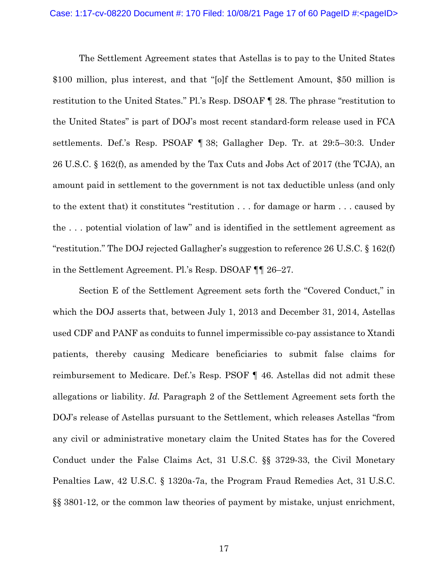The Settlement Agreement states that Astellas is to pay to the United States \$100 million, plus interest, and that "[o]f the Settlement Amount, \$50 million is restitution to the United States." Pl.'s Resp. DSOAF ¶ 28. The phrase "restitution to the United States" is part of DOJ's most recent standard-form release used in FCA settlements. Def.'s Resp. PSOAF ¶ 38; Gallagher Dep. Tr. at 29:5–30:3. Under 26 U.S.C. § 162(f), as amended by the Tax Cuts and Jobs Act of 2017 (the TCJA), an amount paid in settlement to the government is not tax deductible unless (and only to the extent that) it constitutes "restitution . . . for damage or harm . . . caused by the . . . potential violation of law" and is identified in the settlement agreement as "restitution." The DOJ rejected Gallagher's suggestion to reference 26 U.S.C. § 162(f) in the Settlement Agreement. Pl.'s Resp. DSOAF ¶¶ 26–27.

Section E of the Settlement Agreement sets forth the "Covered Conduct," in which the DOJ asserts that, between July 1, 2013 and December 31, 2014, Astellas used CDF and PANF as conduits to funnel impermissible co-pay assistance to Xtandi patients, thereby causing Medicare beneficiaries to submit false claims for reimbursement to Medicare. Def.'s Resp. PSOF ¶ 46. Astellas did not admit these allegations or liability. *Id.* Paragraph 2 of the Settlement Agreement sets forth the DOJ's release of Astellas pursuant to the Settlement, which releases Astellas "from any civil or administrative monetary claim the United States has for the Covered Conduct under the False Claims Act, 31 U.S.C. §§ 3729-33, the Civil Monetary Penalties Law, 42 U.S.C. § 1320a-7a, the Program Fraud Remedies Act, 31 U.S.C. §§ 3801-12, or the common law theories of payment by mistake, unjust enrichment,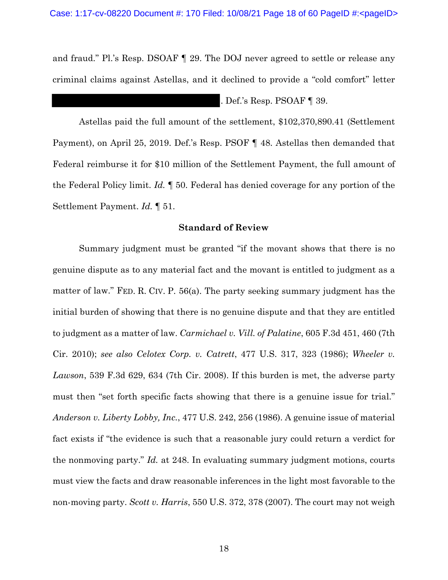and fraud." Pl.'s Resp. DSOAF ¶ 29. The DOJ never agreed to settle or release any criminal claims against Astellas, and it declined to provide a "cold comfort" letter

. Def.'s Resp. PSOAF ¶ 39.

Astellas paid the full amount of the settlement, \$102,370,890.41 (Settlement Payment), on April 25, 2019. Def.'s Resp. PSOF ¶ 48. Astellas then demanded that Federal reimburse it for \$10 million of the Settlement Payment, the full amount of the Federal Policy limit. *Id.* ¶ 50. Federal has denied coverage for any portion of the Settlement Payment. *Id.* ¶ 51.

## **Standard of Review**

Summary judgment must be granted "if the movant shows that there is no genuine dispute as to any material fact and the movant is entitled to judgment as a matter of law." FED. R. CIV. P. 56(a). The party seeking summary judgment has the initial burden of showing that there is no genuine dispute and that they are entitled to judgment as a matter of law. *Carmichael v. Vill. of Palatine*, 605 F.3d 451, 460 (7th Cir. 2010); *see also Celotex Corp. v. Catrett*, 477 U.S. 317, 323 (1986); *Wheeler v. Lawson*, 539 F.3d 629, 634 (7th Cir. 2008). If this burden is met, the adverse party must then "set forth specific facts showing that there is a genuine issue for trial." *Anderson v. Liberty Lobby, Inc.*, 477 U.S. 242, 256 (1986). A genuine issue of material fact exists if "the evidence is such that a reasonable jury could return a verdict for the nonmoving party." *Id.* at 248. In evaluating summary judgment motions, courts must view the facts and draw reasonable inferences in the light most favorable to the non-moving party. *Scott v. Harris*, 550 U.S. 372, 378 (2007). The court may not weigh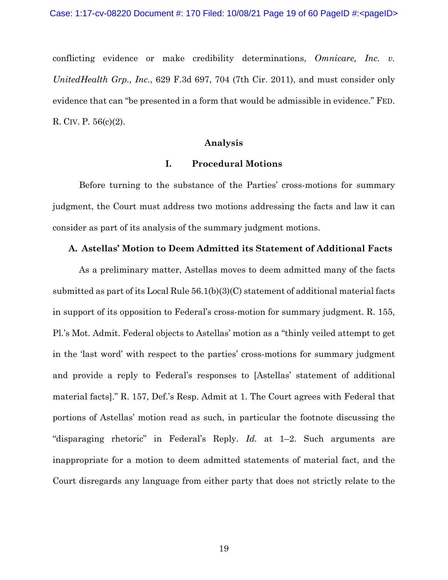conflicting evidence or make credibility determinations, *Omnicare, Inc. v. UnitedHealth Grp., Inc.*, 629 F.3d 697, 704 (7th Cir. 2011), and must consider only evidence that can "be presented in a form that would be admissible in evidence." FED. R. CIV. P. 56(c)(2).

## **Analysis**

#### **I. Procedural Motions**

Before turning to the substance of the Parties' cross-motions for summary judgment, the Court must address two motions addressing the facts and law it can consider as part of its analysis of the summary judgment motions.

### **A. Astellas' Motion to Deem Admitted its Statement of Additional Facts**

As a preliminary matter, Astellas moves to deem admitted many of the facts submitted as part of its Local Rule 56.1(b)(3)(C) statement of additional material facts in support of its opposition to Federal's cross-motion for summary judgment. R. 155, Pl.'s Mot. Admit. Federal objects to Astellas' motion as a "thinly veiled attempt to get in the 'last word' with respect to the parties' cross-motions for summary judgment and provide a reply to Federal's responses to [Astellas' statement of additional material facts]." R. 157, Def.'s Resp. Admit at 1. The Court agrees with Federal that portions of Astellas' motion read as such, in particular the footnote discussing the "disparaging rhetoric" in Federal's Reply. *Id.* at 1–2. Such arguments are inappropriate for a motion to deem admitted statements of material fact, and the Court disregards any language from either party that does not strictly relate to the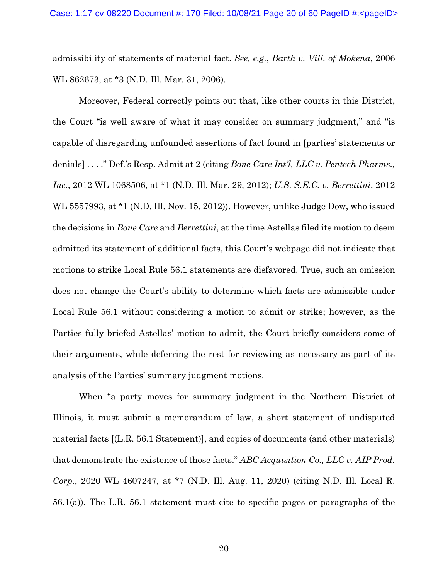admissibility of statements of material fact. *See, e.g.*, *Barth v. Vill. of Mokena*, 2006 WL 862673, at \*3 (N.D. Ill. Mar. 31, 2006).

Moreover, Federal correctly points out that, like other courts in this District, the Court "is well aware of what it may consider on summary judgment," and "is capable of disregarding unfounded assertions of fact found in [parties' statements or denials] . . . ." Def.'s Resp. Admit at 2 (citing *Bone Care Int'l, LLC v. Pentech Pharms., Inc.*, 2012 WL 1068506, at \*1 (N.D. Ill. Mar. 29, 2012); *U.S. S.E.C. v. Berrettini*, 2012 WL 5557993, at \*1 (N.D. Ill. Nov. 15, 2012)). However, unlike Judge Dow, who issued the decisions in *Bone Care* and *Berrettini*, at the time Astellas filed its motion to deem admitted its statement of additional facts, this Court's webpage did not indicate that motions to strike Local Rule 56.1 statements are disfavored. True, such an omission does not change the Court's ability to determine which facts are admissible under Local Rule 56.1 without considering a motion to admit or strike; however, as the Parties fully briefed Astellas' motion to admit, the Court briefly considers some of their arguments, while deferring the rest for reviewing as necessary as part of its analysis of the Parties' summary judgment motions.

When "a party moves for summary judgment in the Northern District of Illinois, it must submit a memorandum of law, a short statement of undisputed material facts [(L.R. 56.1 Statement)], and copies of documents (and other materials) that demonstrate the existence of those facts." *ABC Acquisition Co., LLC v. AIP Prod. Corp.*, 2020 WL 4607247, at \*7 (N.D. Ill. Aug. 11, 2020) (citing N.D. Ill. Local R. 56.1(a)). The L.R. 56.1 statement must cite to specific pages or paragraphs of the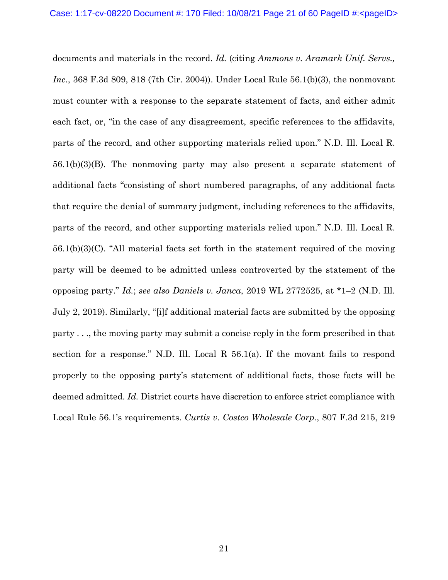documents and materials in the record. *Id.* (citing *Ammons v. Aramark Unif. Servs., Inc.*, 368 F.3d 809, 818 (7th Cir. 2004)). Under Local Rule 56.1(b)(3), the nonmovant must counter with a response to the separate statement of facts, and either admit each fact, or, "in the case of any disagreement, specific references to the affidavits, parts of the record, and other supporting materials relied upon." N.D. Ill. Local R. 56.1(b)(3)(B). The nonmoving party may also present a separate statement of additional facts "consisting of short numbered paragraphs, of any additional facts that require the denial of summary judgment, including references to the affidavits, parts of the record, and other supporting materials relied upon." N.D. Ill. Local R. 56.1(b)(3)(C). "All material facts set forth in the statement required of the moving party will be deemed to be admitted unless controverted by the statement of the opposing party." *Id.*; *see also Daniels v. Janca*, 2019 WL 2772525, at \*1–2 (N.D. Ill. July 2, 2019). Similarly, "[i]f additional material facts are submitted by the opposing party . . ., the moving party may submit a concise reply in the form prescribed in that section for a response." N.D. Ill. Local R 56.1(a). If the movant fails to respond properly to the opposing party's statement of additional facts, those facts will be deemed admitted. *Id.* District courts have discretion to enforce strict compliance with Local Rule 56.1's requirements. *Curtis v. Costco Wholesale Corp.*, 807 F.3d 215, 219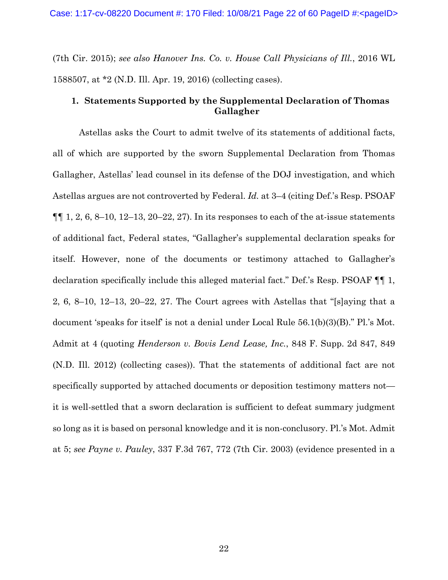(7th Cir. 2015); *see also Hanover Ins. Co. v. House Call Physicians of Ill.*, 2016 WL 1588507, at \*2 (N.D. Ill. Apr. 19, 2016) (collecting cases).

# **1. Statements Supported by the Supplemental Declaration of Thomas Gallagher**

Astellas asks the Court to admit twelve of its statements of additional facts, all of which are supported by the sworn Supplemental Declaration from Thomas Gallagher, Astellas' lead counsel in its defense of the DOJ investigation, and which Astellas argues are not controverted by Federal. *Id.* at 3–4 (citing Def.'s Resp. PSOAF  $\P\P$  1, 2, 6, 8–10, 12–13, 20–22, 27). In its responses to each of the at-issue statements of additional fact, Federal states, "Gallagher's supplemental declaration speaks for itself. However, none of the documents or testimony attached to Gallagher's declaration specifically include this alleged material fact." Def.'s Resp. PSOAF ¶¶ 1, 2, 6, 8–10, 12–13, 20–22, 27. The Court agrees with Astellas that "[s]aying that a document 'speaks for itself' is not a denial under Local Rule 56.1(b)(3)(B)." Pl.'s Mot. Admit at 4 (quoting *Henderson v. Bovis Lend Lease, Inc.*, 848 F. Supp. 2d 847, 849 (N.D. Ill. 2012) (collecting cases)). That the statements of additional fact are not specifically supported by attached documents or deposition testimony matters not it is well-settled that a sworn declaration is sufficient to defeat summary judgment so long as it is based on personal knowledge and it is non-conclusory. Pl.'s Mot. Admit at 5; *see Payne v. Pauley*, 337 F.3d 767, 772 (7th Cir. 2003) (evidence presented in a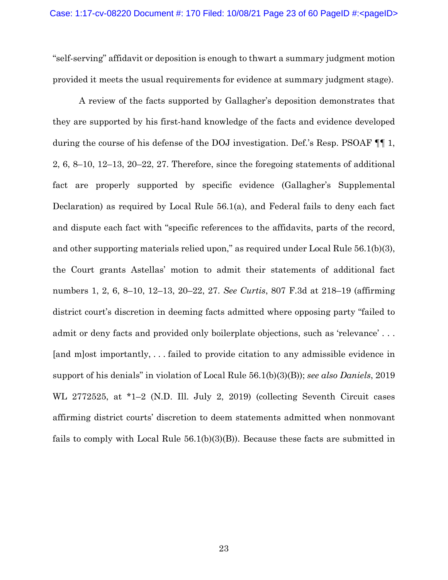"self-serving" affidavit or deposition is enough to thwart a summary judgment motion provided it meets the usual requirements for evidence at summary judgment stage).

A review of the facts supported by Gallagher's deposition demonstrates that they are supported by his first-hand knowledge of the facts and evidence developed during the course of his defense of the DOJ investigation. Def.'s Resp. PSOAF ¶¶ 1, 2, 6, 8–10, 12–13, 20–22, 27. Therefore, since the foregoing statements of additional fact are properly supported by specific evidence (Gallagher's Supplemental Declaration) as required by Local Rule 56.1(a), and Federal fails to deny each fact and dispute each fact with "specific references to the affidavits, parts of the record, and other supporting materials relied upon," as required under Local Rule 56.1(b)(3), the Court grants Astellas' motion to admit their statements of additional fact numbers 1, 2, 6, 8–10, 12–13, 20–22, 27. *See Curtis*, 807 F.3d at 218–19 (affirming district court's discretion in deeming facts admitted where opposing party "failed to admit or deny facts and provided only boilerplate objections, such as 'relevance' . . . [and m]ost importantly, . . . failed to provide citation to any admissible evidence in support of his denials" in violation of Local Rule 56.1(b)(3)(B)); *see also Daniels*, 2019 WL 2772525, at \*1–2 (N.D. Ill. July 2, 2019) (collecting Seventh Circuit cases affirming district courts' discretion to deem statements admitted when nonmovant fails to comply with Local Rule 56.1(b)(3)(B)). Because these facts are submitted in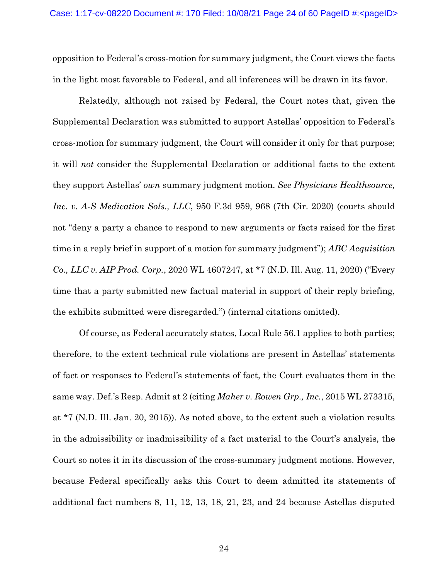opposition to Federal's cross-motion for summary judgment, the Court views the facts in the light most favorable to Federal, and all inferences will be drawn in its favor.

Relatedly, although not raised by Federal, the Court notes that, given the Supplemental Declaration was submitted to support Astellas' opposition to Federal's cross-motion for summary judgment, the Court will consider it only for that purpose; it will *not* consider the Supplemental Declaration or additional facts to the extent they support Astellas' *own* summary judgment motion. *See Physicians Healthsource, Inc. v. A-S Medication Sols., LLC*, 950 F.3d 959, 968 (7th Cir. 2020) (courts should not "deny a party a chance to respond to new arguments or facts raised for the first time in a reply brief in support of a motion for summary judgment"); *ABC Acquisition Co., LLC v. AIP Prod. Corp.*, 2020 WL 4607247, at \*7 (N.D. Ill. Aug. 11, 2020) ("Every time that a party submitted new factual material in support of their reply briefing, the exhibits submitted were disregarded.") (internal citations omitted).

Of course, as Federal accurately states, Local Rule 56.1 applies to both parties; therefore, to the extent technical rule violations are present in Astellas' statements of fact or responses to Federal's statements of fact, the Court evaluates them in the same way. Def.'s Resp. Admit at 2 (citing *Maher v. Rowen Grp., Inc.*, 2015 WL 273315, at \*7 (N.D. Ill. Jan. 20, 2015)). As noted above, to the extent such a violation results in the admissibility or inadmissibility of a fact material to the Court's analysis, the Court so notes it in its discussion of the cross-summary judgment motions. However, because Federal specifically asks this Court to deem admitted its statements of additional fact numbers 8, 11, 12, 13, 18, 21, 23, and 24 because Astellas disputed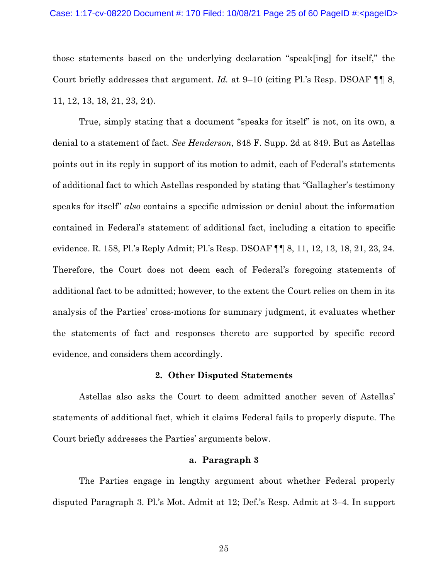those statements based on the underlying declaration "speak[ing] for itself," the Court briefly addresses that argument. *Id.* at 9–10 (citing Pl.'s Resp. DSOAF ¶¶ 8, 11, 12, 13, 18, 21, 23, 24).

True, simply stating that a document "speaks for itself" is not, on its own, a denial to a statement of fact. *See Henderson*, 848 F. Supp. 2d at 849. But as Astellas points out in its reply in support of its motion to admit, each of Federal's statements of additional fact to which Astellas responded by stating that "Gallagher's testimony speaks for itself" *also* contains a specific admission or denial about the information contained in Federal's statement of additional fact, including a citation to specific evidence. R. 158, Pl.'s Reply Admit; Pl.'s Resp. DSOAF ¶¶ 8, 11, 12, 13, 18, 21, 23, 24. Therefore, the Court does not deem each of Federal's foregoing statements of additional fact to be admitted; however, to the extent the Court relies on them in its analysis of the Parties' cross-motions for summary judgment, it evaluates whether the statements of fact and responses thereto are supported by specific record evidence, and considers them accordingly.

#### **2. Other Disputed Statements**

Astellas also asks the Court to deem admitted another seven of Astellas' statements of additional fact, which it claims Federal fails to properly dispute. The Court briefly addresses the Parties' arguments below.

#### **a. Paragraph 3**

The Parties engage in lengthy argument about whether Federal properly disputed Paragraph 3. Pl.'s Mot. Admit at 12; Def.'s Resp. Admit at 3–4. In support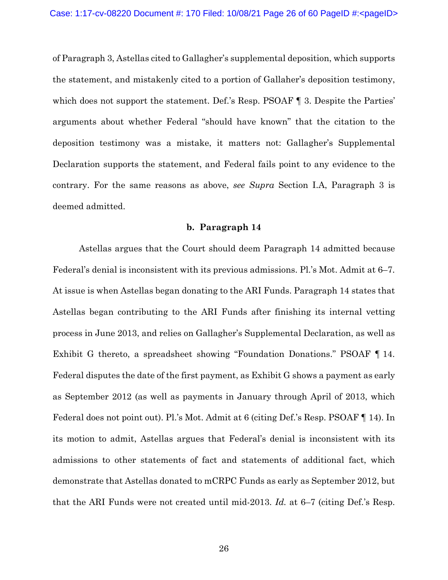of Paragraph 3, Astellas cited to Gallagher's supplemental deposition, which supports the statement, and mistakenly cited to a portion of Gallaher's deposition testimony, which does not support the statement. Def.'s Resp. PSOAF  $\P$  3. Despite the Parties' arguments about whether Federal "should have known" that the citation to the deposition testimony was a mistake, it matters not: Gallagher's Supplemental Declaration supports the statement, and Federal fails point to any evidence to the contrary. For the same reasons as above, *see Supra* Section I.A, Paragraph 3 is deemed admitted.

### **b. Paragraph 14**

Astellas argues that the Court should deem Paragraph 14 admitted because Federal's denial is inconsistent with its previous admissions. Pl.'s Mot. Admit at 6–7. At issue is when Astellas began donating to the ARI Funds. Paragraph 14 states that Astellas began contributing to the ARI Funds after finishing its internal vetting process in June 2013, and relies on Gallagher's Supplemental Declaration, as well as Exhibit G thereto, a spreadsheet showing "Foundation Donations." PSOAF ¶ 14. Federal disputes the date of the first payment, as Exhibit G shows a payment as early as September 2012 (as well as payments in January through April of 2013, which Federal does not point out). Pl.'s Mot. Admit at 6 (citing Def.'s Resp. PSOAF ¶ 14). In its motion to admit, Astellas argues that Federal's denial is inconsistent with its admissions to other statements of fact and statements of additional fact, which demonstrate that Astellas donated to mCRPC Funds as early as September 2012, but that the ARI Funds were not created until mid-2013. *Id.* at 6–7 (citing Def.'s Resp.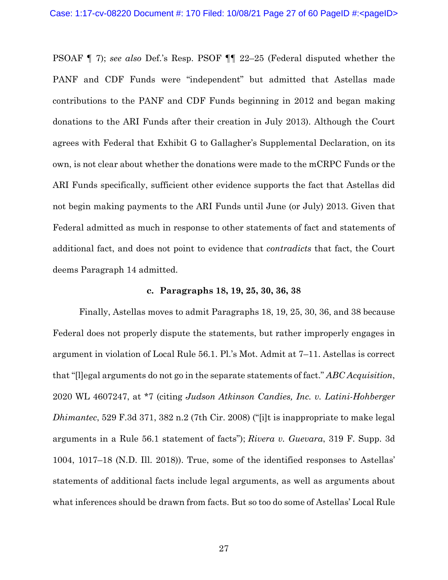PSOAF ¶ 7); *see also* Def.'s Resp. PSOF ¶¶ 22–25 (Federal disputed whether the PANF and CDF Funds were "independent" but admitted that Astellas made contributions to the PANF and CDF Funds beginning in 2012 and began making donations to the ARI Funds after their creation in July 2013). Although the Court agrees with Federal that Exhibit G to Gallagher's Supplemental Declaration, on its own, is not clear about whether the donations were made to the mCRPC Funds or the ARI Funds specifically, sufficient other evidence supports the fact that Astellas did not begin making payments to the ARI Funds until June (or July) 2013. Given that Federal admitted as much in response to other statements of fact and statements of additional fact, and does not point to evidence that *contradicts* that fact, the Court deems Paragraph 14 admitted.

#### **c. Paragraphs 18, 19, 25, 30, 36, 38**

Finally, Astellas moves to admit Paragraphs 18, 19, 25, 30, 36, and 38 because Federal does not properly dispute the statements, but rather improperly engages in argument in violation of Local Rule 56.1. Pl.'s Mot. Admit at 7–11. Astellas is correct that "[l]egal arguments do not go in the separate statements of fact." *ABC Acquisition*, 2020 WL 4607247, at \*7 (citing *Judson Atkinson Candies, Inc. v. Latini-Hohberger Dhimantec*, 529 F.3d 371, 382 n.2 (7th Cir. 2008) ("[i]t is inappropriate to make legal arguments in a Rule 56.1 statement of facts"); *Rivera v. Guevara*, 319 F. Supp. 3d 1004, 1017–18 (N.D. Ill. 2018)). True, some of the identified responses to Astellas' statements of additional facts include legal arguments, as well as arguments about what inferences should be drawn from facts. But so too do some of Astellas' Local Rule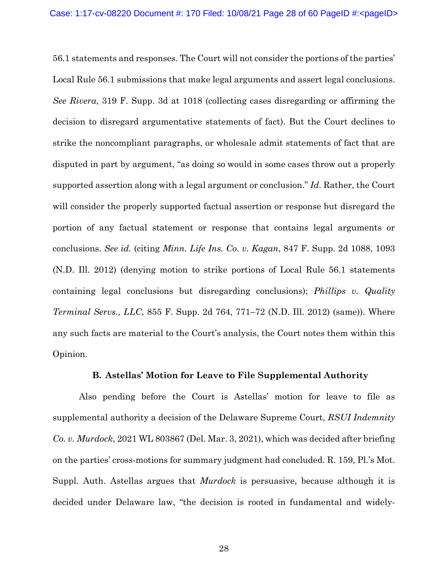56.1 statements and responses. The Court will not consider the portions of the parties' Local Rule 56.1 submissions that make legal arguments and assert legal conclusions. *See Rivera*, 319 F. Supp. 3d at 1018 (collecting cases disregarding or affirming the decision to disregard argumentative statements of fact). But the Court declines to strike the noncompliant paragraphs, or wholesale admit statements of fact that are disputed in part by argument, "as doing so would in some cases throw out a properly supported assertion along with a legal argument or conclusion." *Id.* Rather, the Court will consider the properly supported factual assertion or response but disregard the portion of any factual statement or response that contains legal arguments or conclusions. *See id.* (citing *Minn. Life Ins. Co. v. Kagan*, 847 F. Supp. 2d 1088, 1093 (N.D. Ill. 2012) (denying motion to strike portions of Local Rule 56.1 statements containing legal conclusions but disregarding conclusions); *Phillips v. Quality Terminal Servs., LLC*, 855 F. Supp. 2d 764, 771–72 (N.D. Ill. 2012) (same)). Where any such facts are material to the Court's analysis, the Court notes them within this Opinion.

## **B. Astellas' Motion for Leave to File Supplemental Authority**

Also pending before the Court is Astellas' motion for leave to file as supplemental authority a decision of the Delaware Supreme Court, *RSUI Indemnity Co. v. Murdock*, 2021 WL 803867 (Del. Mar. 3, 2021), which was decided after briefing on the parties' cross-motions for summary judgment had concluded. R. 159, Pl.'s Mot. Suppl. Auth. Astellas argues that *Murdock* is persuasive, because although it is decided under Delaware law, "the decision is rooted in fundamental and widely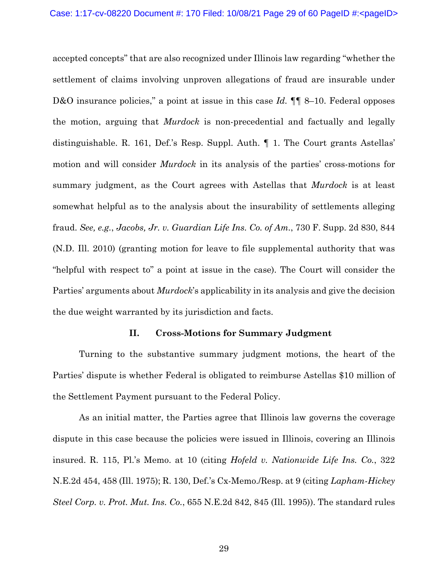accepted concepts" that are also recognized under Illinois law regarding "whether the settlement of claims involving unproven allegations of fraud are insurable under D&O insurance policies," a point at issue in this case *Id.*  $\P\P$  8–10. Federal opposes the motion, arguing that *Murdock* is non-precedential and factually and legally distinguishable. R. 161, Def.'s Resp. Suppl. Auth. ¶ 1. The Court grants Astellas' motion and will consider *Murdock* in its analysis of the parties' cross-motions for summary judgment, as the Court agrees with Astellas that *Murdock* is at least somewhat helpful as to the analysis about the insurability of settlements alleging fraud. *See, e.g.*, *Jacobs, Jr. v. Guardian Life Ins. Co. of Am.*, 730 F. Supp. 2d 830, 844 (N.D. Ill. 2010) (granting motion for leave to file supplemental authority that was "helpful with respect to" a point at issue in the case). The Court will consider the Parties' arguments about *Murdock*'s applicability in its analysis and give the decision the due weight warranted by its jurisdiction and facts.

### **II. Cross-Motions for Summary Judgment**

Turning to the substantive summary judgment motions, the heart of the Parties' dispute is whether Federal is obligated to reimburse Astellas \$10 million of the Settlement Payment pursuant to the Federal Policy.

As an initial matter, the Parties agree that Illinois law governs the coverage dispute in this case because the policies were issued in Illinois, covering an Illinois insured. R. 115, Pl.'s Memo. at 10 (citing *Hofeld v. Nationwide Life Ins. Co.*, 322 N.E.2d 454, 458 (Ill. 1975); R. 130, Def.'s Cx-Memo./Resp. at 9 (citing *Lapham-Hickey Steel Corp. v. Prot. Mut. Ins. Co.*, 655 N.E.2d 842, 845 (Ill. 1995)). The standard rules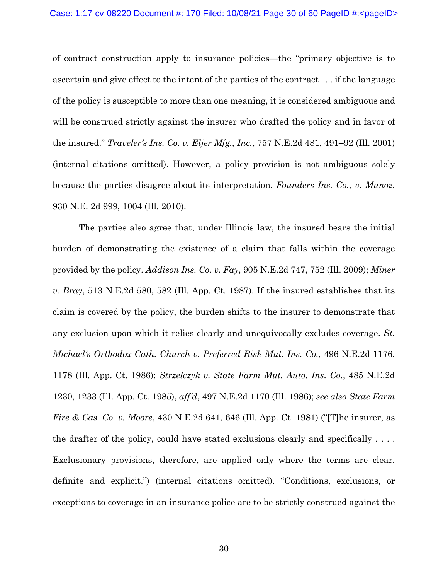of contract construction apply to insurance policies—the "primary objective is to ascertain and give effect to the intent of the parties of the contract . . . if the language of the policy is susceptible to more than one meaning, it is considered ambiguous and will be construed strictly against the insurer who drafted the policy and in favor of the insured." *Traveler's Ins. Co. v. Eljer Mfg., Inc.*, 757 N.E.2d 481, 491–92 (Ill. 2001) (internal citations omitted). However, a policy provision is not ambiguous solely because the parties disagree about its interpretation. *Founders Ins. Co., v. Munoz*, 930 N.E. 2d 999, 1004 (Ill. 2010).

The parties also agree that, under Illinois law, the insured bears the initial burden of demonstrating the existence of a claim that falls within the coverage provided by the policy. *Addison Ins. Co. v. Fay*, 905 N.E.2d 747, 752 (Ill. 2009); *Miner v. Bray*, 513 N.E.2d 580, 582 (Ill. App. Ct. 1987). If the insured establishes that its claim is covered by the policy, the burden shifts to the insurer to demonstrate that any exclusion upon which it relies clearly and unequivocally excludes coverage. *St. Michael's Orthodox Cath. Church v. Preferred Risk Mut. Ins. Co.*, 496 N.E.2d 1176, 1178 (Ill. App. Ct. 1986); *Strzelczyk v. State Farm Mut. Auto. Ins. Co.*, 485 N.E.2d 1230, 1233 (Ill. App. Ct. 1985), *aff'd*, 497 N.E.2d 1170 (Ill. 1986); *see also State Farm Fire & Cas. Co. v. Moore*, 430 N.E.2d 641, 646 (Ill. App. Ct. 1981) ("[T]he insurer, as the drafter of the policy, could have stated exclusions clearly and specifically . . . . Exclusionary provisions, therefore, are applied only where the terms are clear, definite and explicit.") (internal citations omitted). "Conditions, exclusions, or exceptions to coverage in an insurance police are to be strictly construed against the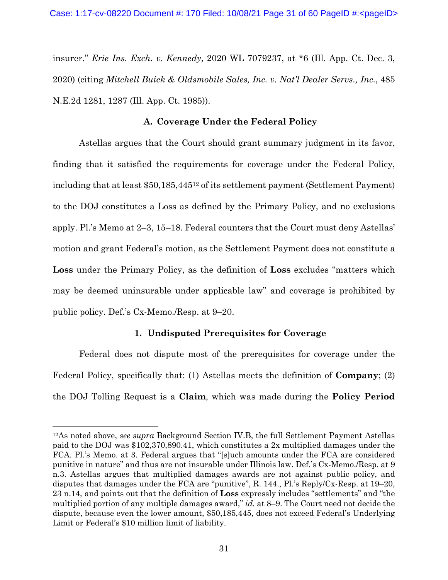insurer." *Erie Ins. Exch. v. Kennedy*, 2020 WL 7079237, at \*6 (Ill. App. Ct. Dec. 3, 2020) (citing *Mitchell Buick & Oldsmobile Sales, Inc. v. Nat'l Dealer Servs., Inc.*, 485 N.E.2d 1281, 1287 (Ill. App. Ct. 1985)).

## **A. Coverage Under the Federal Policy**

Astellas argues that the Court should grant summary judgment in its favor, finding that it satisfied the requirements for coverage under the Federal Policy, including that at least \$50,185,44512 of its settlement payment (Settlement Payment) to the DOJ constitutes a Loss as defined by the Primary Policy, and no exclusions apply. Pl.'s Memo at 2–3, 15–18. Federal counters that the Court must deny Astellas' motion and grant Federal's motion, as the Settlement Payment does not constitute a **Loss** under the Primary Policy, as the definition of **Loss** excludes "matters which may be deemed uninsurable under applicable law" and coverage is prohibited by public policy. Def.'s Cx-Memo./Resp. at 9–20.

## **1. Undisputed Prerequisites for Coverage**

Federal does not dispute most of the prerequisites for coverage under the Federal Policy, specifically that: (1) Astellas meets the definition of **Company**; (2) the DOJ Tolling Request is a **Claim**, which was made during the **Policy Period**

<sup>12</sup>As noted above, *see supra* Background Section IV.B, the full Settlement Payment Astellas paid to the DOJ was \$102,370,890.41, which constitutes a 2x multiplied damages under the FCA. Pl.'s Memo. at 3. Federal argues that "[s]uch amounts under the FCA are considered punitive in nature" and thus are not insurable under Illinois law. Def.'s Cx-Memo./Resp. at 9 n.3. Astellas argues that multiplied damages awards are not against public policy, and disputes that damages under the FCA are "punitive", R. 144., Pl.'s Reply/Cx-Resp. at 19–20, 23 n.14, and points out that the definition of **Loss** expressly includes "settlements" and "the multiplied portion of any multiple damages award," *id.* at 8–9. The Court need not decide the dispute, because even the lower amount, \$50,185,445, does not exceed Federal's Underlying Limit or Federal's \$10 million limit of liability.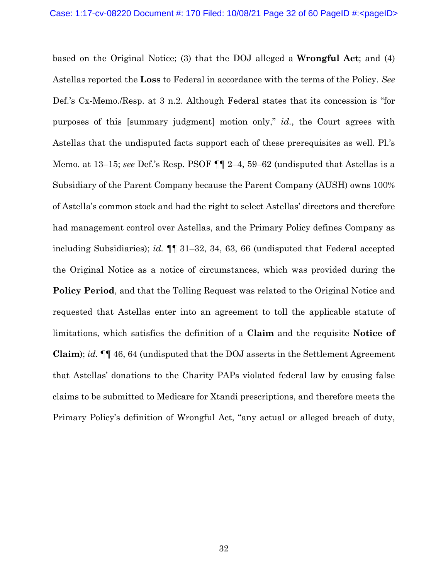based on the Original Notice; (3) that the DOJ alleged a **Wrongful Act**; and (4) Astellas reported the **Loss** to Federal in accordance with the terms of the Policy. *See*  Def.'s Cx-Memo./Resp. at 3 n.2. Although Federal states that its concession is "for purposes of this [summary judgment] motion only," *id.*, the Court agrees with Astellas that the undisputed facts support each of these prerequisites as well. Pl.'s Memo. at 13–15; *see* Def.'s Resp. PSOF ¶¶ 2–4, 59–62 (undisputed that Astellas is a Subsidiary of the Parent Company because the Parent Company (AUSH) owns 100% of Astella's common stock and had the right to select Astellas' directors and therefore had management control over Astellas, and the Primary Policy defines Company as including Subsidiaries); *id.* ¶¶ 31–32, 34, 63, 66 (undisputed that Federal accepted the Original Notice as a notice of circumstances, which was provided during the **Policy Period**, and that the Tolling Request was related to the Original Notice and requested that Astellas enter into an agreement to toll the applicable statute of limitations, which satisfies the definition of a **Claim** and the requisite **Notice of Claim**); *id.* ¶¶ 46, 64 (undisputed that the DOJ asserts in the Settlement Agreement that Astellas' donations to the Charity PAPs violated federal law by causing false claims to be submitted to Medicare for Xtandi prescriptions, and therefore meets the Primary Policy's definition of Wrongful Act, "any actual or alleged breach of duty,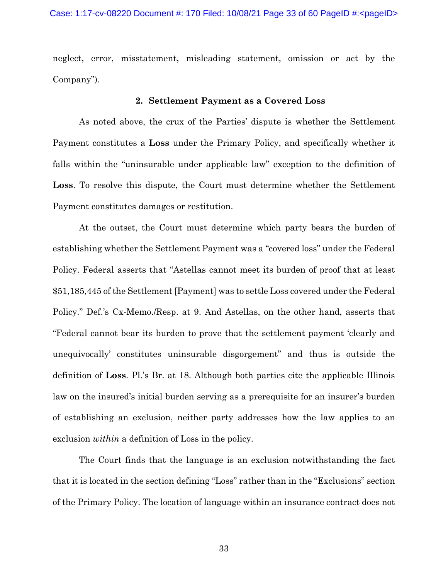neglect, error, misstatement, misleading statement, omission or act by the Company").

## **2. Settlement Payment as a Covered Loss**

As noted above, the crux of the Parties' dispute is whether the Settlement Payment constitutes a **Loss** under the Primary Policy, and specifically whether it falls within the "uninsurable under applicable law" exception to the definition of **Loss**. To resolve this dispute, the Court must determine whether the Settlement Payment constitutes damages or restitution.

At the outset, the Court must determine which party bears the burden of establishing whether the Settlement Payment was a "covered loss" under the Federal Policy. Federal asserts that "Astellas cannot meet its burden of proof that at least \$51,185,445 of the Settlement [Payment] was to settle Loss covered under the Federal Policy." Def.'s Cx-Memo./Resp. at 9. And Astellas, on the other hand, asserts that "Federal cannot bear its burden to prove that the settlement payment 'clearly and unequivocally' constitutes uninsurable disgorgement" and thus is outside the definition of **Loss**. Pl.'s Br. at 18. Although both parties cite the applicable Illinois law on the insured's initial burden serving as a prerequisite for an insurer's burden of establishing an exclusion, neither party addresses how the law applies to an exclusion *within* a definition of Loss in the policy.

The Court finds that the language is an exclusion notwithstanding the fact that it is located in the section defining "Loss" rather than in the "Exclusions" section of the Primary Policy. The location of language within an insurance contract does not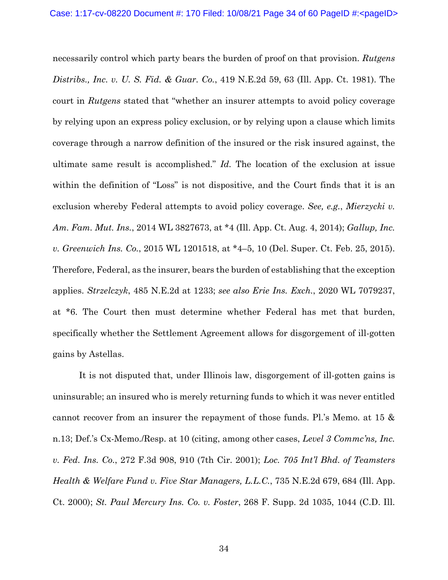necessarily control which party bears the burden of proof on that provision. *Rutgens Distribs., Inc. v. U. S. Fid. & Guar. Co.*, 419 N.E.2d 59, 63 (Ill. App. Ct. 1981). The court in *Rutgens* stated that "whether an insurer attempts to avoid policy coverage by relying upon an express policy exclusion, or by relying upon a clause which limits coverage through a narrow definition of the insured or the risk insured against, the ultimate same result is accomplished." *Id.* The location of the exclusion at issue within the definition of "Loss" is not dispositive, and the Court finds that it is an exclusion whereby Federal attempts to avoid policy coverage. *See, e.g.*, *Mierzycki v. Am. Fam. Mut. Ins.*, 2014 WL 3827673, at \*4 (Ill. App. Ct. Aug. 4, 2014); *Gallup, Inc. v. Greenwich Ins. Co.*, 2015 WL 1201518, at \*4–5, 10 (Del. Super. Ct. Feb. 25, 2015). Therefore, Federal, as the insurer, bears the burden of establishing that the exception applies. *Strzelczyk*, 485 N.E.2d at 1233; *see also Erie Ins. Exch.*, 2020 WL 7079237, at \*6. The Court then must determine whether Federal has met that burden, specifically whether the Settlement Agreement allows for disgorgement of ill-gotten gains by Astellas.

It is not disputed that, under Illinois law, disgorgement of ill-gotten gains is uninsurable; an insured who is merely returning funds to which it was never entitled cannot recover from an insurer the repayment of those funds. Pl.'s Memo. at 15 & n.13; Def.'s Cx-Memo./Resp. at 10 (citing, among other cases, *Level 3 Commc'ns, Inc. v. Fed. Ins. Co.*, 272 F.3d 908, 910 (7th Cir. 2001); *Loc. 705 Int'l Bhd. of Teamsters Health & Welfare Fund v. Five Star Managers, L.L.C.*, 735 N.E.2d 679, 684 (Ill. App. Ct. 2000); *St. Paul Mercury Ins. Co. v. Foster*, 268 F. Supp. 2d 1035, 1044 (C.D. Ill.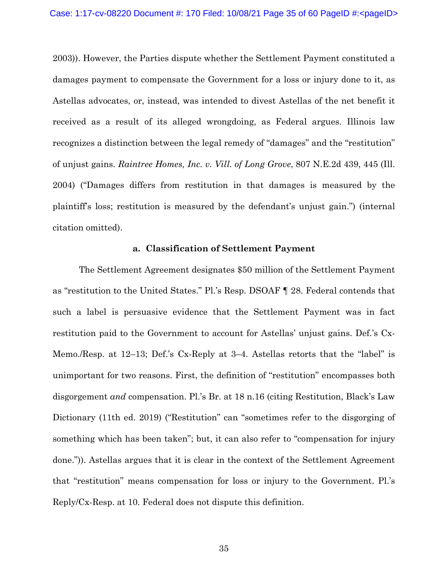2003)). However, the Parties dispute whether the Settlement Payment constituted a damages payment to compensate the Government for a loss or injury done to it, as Astellas advocates, or, instead, was intended to divest Astellas of the net benefit it received as a result of its alleged wrongdoing, as Federal argues. Illinois law recognizes a distinction between the legal remedy of "damages" and the "restitution" of unjust gains. *Raintree Homes, Inc. v. Vill. of Long Grove*, 807 N.E.2d 439, 445 (Ill. 2004) ("Damages differs from restitution in that damages is measured by the plaintiff's loss; restitution is measured by the defendant's unjust gain.") (internal citation omitted).

#### **a. Classification of Settlement Payment**

The Settlement Agreement designates \$50 million of the Settlement Payment as "restitution to the United States." Pl.'s Resp. DSOAF ¶ 28. Federal contends that such a label is persuasive evidence that the Settlement Payment was in fact restitution paid to the Government to account for Astellas' unjust gains. Def.'s Cx-Memo./Resp. at 12–13; Def.'s Cx-Reply at 3–4. Astellas retorts that the "label" is unimportant for two reasons. First, the definition of "restitution" encompasses both disgorgement *and* compensation. Pl.'s Br. at 18 n.16 (citing Restitution, Black's Law Dictionary (11th ed. 2019) ("Restitution" can "sometimes refer to the disgorging of something which has been taken"; but, it can also refer to "compensation for injury done.")). Astellas argues that it is clear in the context of the Settlement Agreement that "restitution" means compensation for loss or injury to the Government. Pl.'s Reply/Cx-Resp. at 10. Federal does not dispute this definition.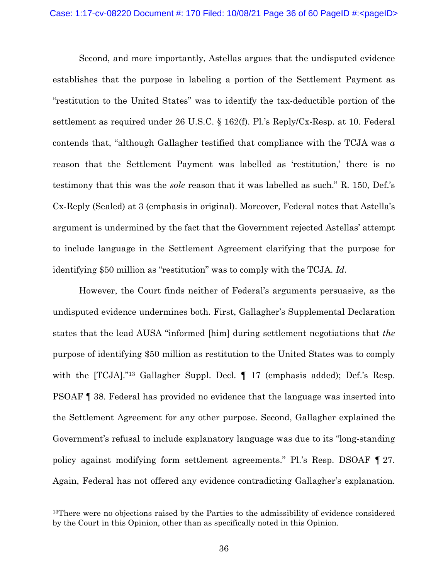Second, and more importantly, Astellas argues that the undisputed evidence establishes that the purpose in labeling a portion of the Settlement Payment as "restitution to the United States" was to identify the tax-deductible portion of the settlement as required under 26 U.S.C. § 162(f). Pl.'s Reply/Cx-Resp. at 10. Federal contends that, "although Gallagher testified that compliance with the TCJA was *a* reason that the Settlement Payment was labelled as 'restitution,' there is no testimony that this was the *sole* reason that it was labelled as such." R. 150, Def.'s Cx-Reply (Sealed) at 3 (emphasis in original). Moreover, Federal notes that Astella's argument is undermined by the fact that the Government rejected Astellas' attempt to include language in the Settlement Agreement clarifying that the purpose for identifying \$50 million as "restitution" was to comply with the TCJA. *Id.*

However, the Court finds neither of Federal's arguments persuasive, as the undisputed evidence undermines both. First, Gallagher's Supplemental Declaration states that the lead AUSA "informed [him] during settlement negotiations that *the* purpose of identifying \$50 million as restitution to the United States was to comply with the [TCJA]."<sup>13</sup> Gallagher Suppl. Decl.  $\P$  17 (emphasis added); Def.'s Resp. PSOAF ¶ 38. Federal has provided no evidence that the language was inserted into the Settlement Agreement for any other purpose. Second, Gallagher explained the Government's refusal to include explanatory language was due to its "long-standing policy against modifying form settlement agreements." Pl.'s Resp. DSOAF ¶ 27. Again, Federal has not offered any evidence contradicting Gallagher's explanation.

<sup>&</sup>lt;sup>13</sup>There were no objections raised by the Parties to the admissibility of evidence considered by the Court in this Opinion, other than as specifically noted in this Opinion.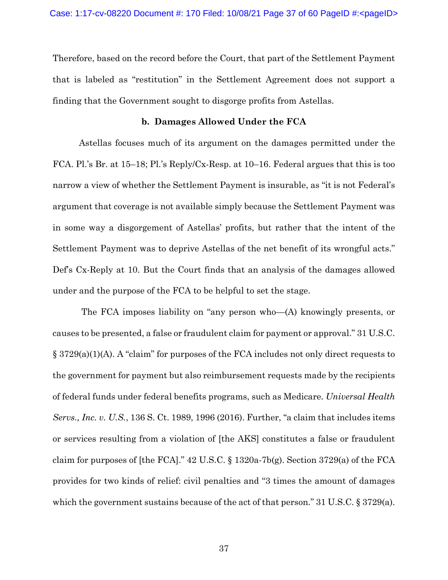Therefore, based on the record before the Court, that part of the Settlement Payment that is labeled as "restitution" in the Settlement Agreement does not support a finding that the Government sought to disgorge profits from Astellas.

#### **b. Damages Allowed Under the FCA**

Astellas focuses much of its argument on the damages permitted under the FCA. Pl.'s Br. at 15–18; Pl.'s Reply/Cx-Resp. at 10–16. Federal argues that this is too narrow a view of whether the Settlement Payment is insurable, as "it is not Federal's argument that coverage is not available simply because the Settlement Payment was in some way a disgorgement of Astellas' profits, but rather that the intent of the Settlement Payment was to deprive Astellas of the net benefit of its wrongful acts." Def's Cx-Reply at 10. But the Court finds that an analysis of the damages allowed under and the purpose of the FCA to be helpful to set the stage.

 The FCA imposes liability on "any person who—(A) knowingly presents, or causes to be presented, a false or fraudulent claim for payment or approval." 31 U.S.C. § 3729(a)(1)(A). A "claim" for purposes of the FCA includes not only direct requests to the government for payment but also reimbursement requests made by the recipients of federal funds under federal benefits programs, such as Medicare. *Universal Health Servs., Inc. v. U.S.*, 136 S. Ct. 1989, 1996 (2016). Further, "a claim that includes items or services resulting from a violation of [the AKS] constitutes a false or fraudulent claim for purposes of [the FCA]."  $42$  U.S.C. § 1320a-7b(g). Section 3729(a) of the FCA provides for two kinds of relief: civil penalties and "3 times the amount of damages which the government sustains because of the act of that person." 31 U.S.C. § 3729(a).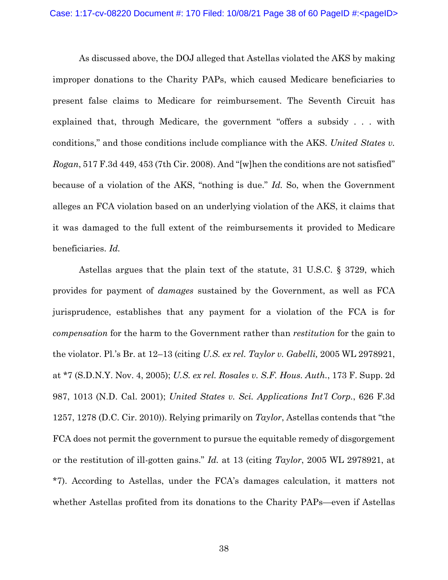As discussed above, the DOJ alleged that Astellas violated the AKS by making improper donations to the Charity PAPs, which caused Medicare beneficiaries to present false claims to Medicare for reimbursement. The Seventh Circuit has explained that, through Medicare, the government "offers a subsidy . . . with conditions," and those conditions include compliance with the AKS. *United States v. Rogan*, 517 F.3d 449, 453 (7th Cir. 2008). And "[w]hen the conditions are not satisfied" because of a violation of the AKS, "nothing is due." *Id.* So, when the Government alleges an FCA violation based on an underlying violation of the AKS, it claims that it was damaged to the full extent of the reimbursements it provided to Medicare beneficiaries. *Id.*

Astellas argues that the plain text of the statute, 31 U.S.C. § 3729, which provides for payment of *damages* sustained by the Government, as well as FCA jurisprudence, establishes that any payment for a violation of the FCA is for *compensation* for the harm to the Government rather than *restitution* for the gain to the violator. Pl.'s Br. at 12–13 (citing *U.S. ex rel. Taylor v. Gabelli,* 2005 WL 2978921, at \*7 (S.D.N.Y. Nov. 4, 2005); *U.S. ex rel. Rosales v. S.F. Hous. Auth.*, 173 F. Supp. 2d 987, 1013 (N.D. Cal. 2001); *United States v. Sci. Applications Int'l Corp.*, 626 F.3d 1257, 1278 (D.C. Cir. 2010)). Relying primarily on *Taylor*, Astellas contends that "the FCA does not permit the government to pursue the equitable remedy of disgorgement or the restitution of ill-gotten gains." *Id.* at 13 (citing *Taylor*, 2005 WL 2978921, at \*7). According to Astellas, under the FCA's damages calculation, it matters not whether Astellas profited from its donations to the Charity PAPs—even if Astellas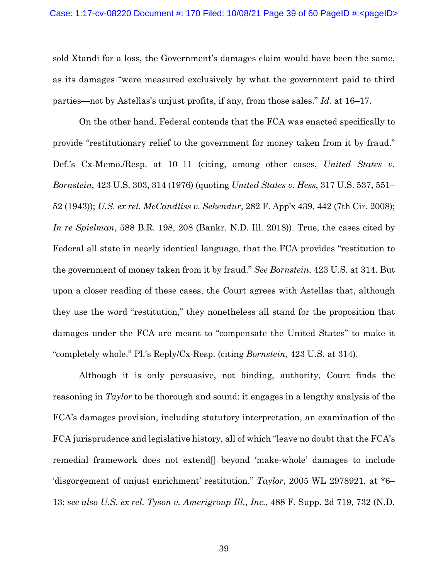sold Xtandi for a loss, the Government's damages claim would have been the same, as its damages "were measured exclusively by what the government paid to third parties—not by Astellas's unjust profits, if any, from those sales." *Id.* at 16–17.

On the other hand, Federal contends that the FCA was enacted specifically to provide "restitutionary relief to the government for money taken from it by fraud." Def.'s Cx-Memo./Resp. at 10–11 (citing, among other cases, *United States v. Bornstein*, 423 U.S. 303, 314 (1976) (quoting *United States v. Hess*, 317 U.S. 537, 551– 52 (1943)); *U.S. ex rel. McCandliss v. Sekendur*, 282 F. App'x 439, 442 (7th Cir. 2008); *In re Spielman*, 588 B.R. 198, 208 (Bankr. N.D. Ill. 2018)). True, the cases cited by Federal all state in nearly identical language, that the FCA provides "restitution to the government of money taken from it by fraud." *See Bornstein*, 423 U.S. at 314. But upon a closer reading of these cases, the Court agrees with Astellas that, although they use the word "restitution," they nonetheless all stand for the proposition that damages under the FCA are meant to "compensate the United States" to make it "completely whole." Pl.'s Reply/Cx-Resp. (citing *Bornstein*, 423 U.S. at 314).

Although it is only persuasive, not binding, authority, Court finds the reasoning in *Taylor* to be thorough and sound: it engages in a lengthy analysis of the FCA's damages provision, including statutory interpretation, an examination of the FCA jurisprudence and legislative history, all of which "leave no doubt that the FCA's remedial framework does not extend[] beyond 'make-whole' damages to include 'disgorgement of unjust enrichment' restitution." *Taylor*, 2005 WL 2978921, at \*6– 13; *see also U.S. ex rel. Tyson v. Amerigroup Ill., Inc.*, 488 F. Supp. 2d 719, 732 (N.D.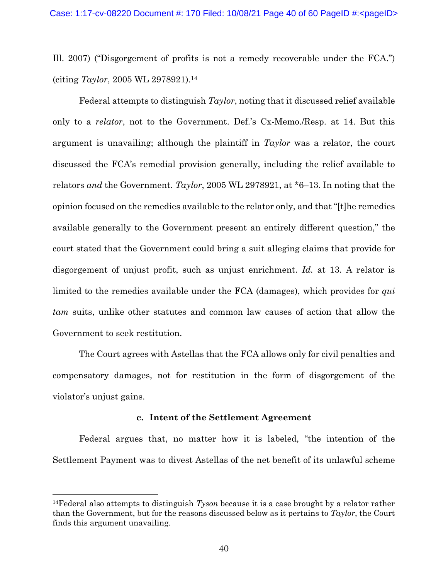Ill. 2007) ("Disgorgement of profits is not a remedy recoverable under the FCA.") (citing *Taylor*, 2005 WL 2978921).14

Federal attempts to distinguish *Taylor*, noting that it discussed relief available only to a *relator*, not to the Government. Def.'s Cx-Memo./Resp. at 14. But this argument is unavailing; although the plaintiff in *Taylor* was a relator, the court discussed the FCA's remedial provision generally, including the relief available to relators *and* the Government. *Taylor*, 2005 WL 2978921, at \*6–13. In noting that the opinion focused on the remedies available to the relator only, and that "[t]he remedies available generally to the Government present an entirely different question," the court stated that the Government could bring a suit alleging claims that provide for disgorgement of unjust profit, such as unjust enrichment. *Id.* at 13. A relator is limited to the remedies available under the FCA (damages), which provides for *qui tam* suits, unlike other statutes and common law causes of action that allow the Government to seek restitution.

The Court agrees with Astellas that the FCA allows only for civil penalties and compensatory damages, not for restitution in the form of disgorgement of the violator's unjust gains.

## **c. Intent of the Settlement Agreement**

Federal argues that, no matter how it is labeled, "the intention of the Settlement Payment was to divest Astellas of the net benefit of its unlawful scheme

<sup>14</sup>Federal also attempts to distinguish *Tyson* because it is a case brought by a relator rather than the Government, but for the reasons discussed below as it pertains to *Taylor*, the Court finds this argument unavailing.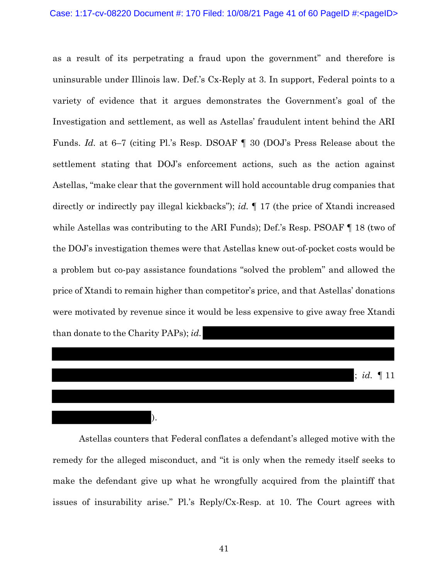as a result of its perpetrating a fraud upon the government" and therefore is uninsurable under Illinois law. Def.'s Cx-Reply at 3. In support, Federal points to a variety of evidence that it argues demonstrates the Government's goal of the Investigation and settlement, as well as Astellas' fraudulent intent behind the ARI Funds. *Id.* at 6–7 (citing Pl.'s Resp. DSOAF ¶ 30 (DOJ's Press Release about the settlement stating that DOJ's enforcement actions, such as the action against Astellas, "make clear that the government will hold accountable drug companies that directly or indirectly pay illegal kickbacks"); *id.* ¶ 17 (the price of Xtandi increased while Astellas was contributing to the ARI Funds); Def.'s Resp. PSOAF  $\P$  18 (two of the DOJ's investigation themes were that Astellas knew out-of-pocket costs would be a problem but co-pay assistance foundations "solved the problem" and allowed the price of Xtandi to remain higher than competitor's price, and that Astellas' donations were motivated by revenue since it would be less expensive to give away free Xtandi than donate to the Charity PAPs); *id.*



Astellas counters that Federal conflates a defendant's alleged motive with the remedy for the alleged misconduct, and "it is only when the remedy itself seeks to make the defendant give up what he wrongfully acquired from the plaintiff that issues of insurability arise." Pl.'s Reply/Cx-Resp. at 10. The Court agrees with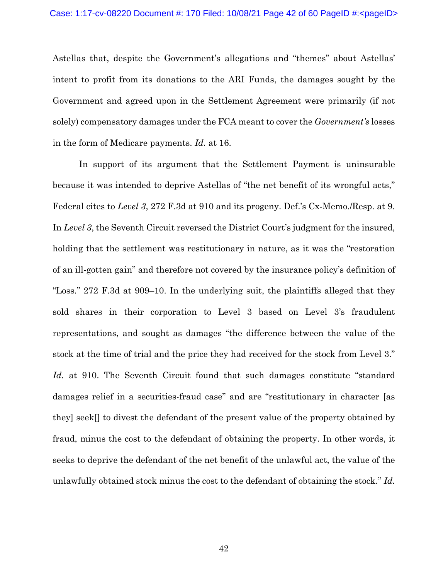Astellas that, despite the Government's allegations and "themes" about Astellas' intent to profit from its donations to the ARI Funds, the damages sought by the Government and agreed upon in the Settlement Agreement were primarily (if not solely) compensatory damages under the FCA meant to cover the *Government's* losses in the form of Medicare payments. *Id.* at 16.

In support of its argument that the Settlement Payment is uninsurable because it was intended to deprive Astellas of "the net benefit of its wrongful acts," Federal cites to *Level 3*, 272 F.3d at 910 and its progeny. Def.'s Cx-Memo./Resp. at 9. In *Level 3*, the Seventh Circuit reversed the District Court's judgment for the insured, holding that the settlement was restitutionary in nature, as it was the "restoration of an ill-gotten gain" and therefore not covered by the insurance policy's definition of "Loss." 272 F.3d at 909–10. In the underlying suit, the plaintiffs alleged that they sold shares in their corporation to Level 3 based on Level 3's fraudulent representations, and sought as damages "the difference between the value of the stock at the time of trial and the price they had received for the stock from Level 3." Id. at 910. The Seventh Circuit found that such damages constitute "standard" damages relief in a securities-fraud case" and are "restitutionary in character [as they] seek[] to divest the defendant of the present value of the property obtained by fraud, minus the cost to the defendant of obtaining the property. In other words, it seeks to deprive the defendant of the net benefit of the unlawful act, the value of the unlawfully obtained stock minus the cost to the defendant of obtaining the stock." *Id.*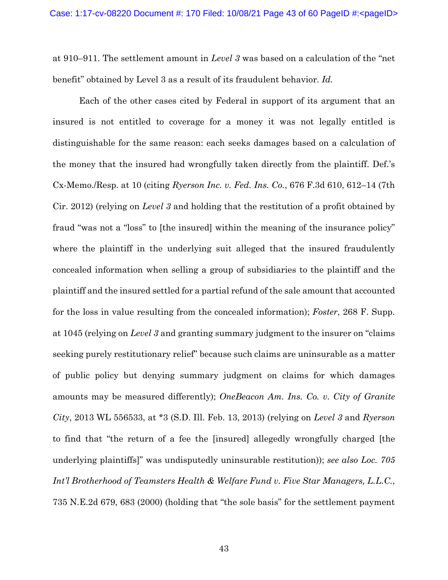at 910–911. The settlement amount in *Level 3* was based on a calculation of the "net benefit" obtained by Level 3 as a result of its fraudulent behavior. *Id.*

Each of the other cases cited by Federal in support of its argument that an insured is not entitled to coverage for a money it was not legally entitled is distinguishable for the same reason: each seeks damages based on a calculation of the money that the insured had wrongfully taken directly from the plaintiff. Def.'s Cx-Memo./Resp. at 10 (citing *Ryerson Inc. v. Fed. Ins. Co.*, 676 F.3d 610, 612–14 (7th Cir. 2012) (relying on *Level 3* and holding that the restitution of a profit obtained by fraud "was not a "loss" to [the insured] within the meaning of the insurance policy" where the plaintiff in the underlying suit alleged that the insured fraudulently concealed information when selling a group of subsidiaries to the plaintiff and the plaintiff and the insured settled for a partial refund of the sale amount that accounted for the loss in value resulting from the concealed information); *Foster*, 268 F. Supp. at 1045 (relying on *Level 3* and granting summary judgment to the insurer on "claims seeking purely restitutionary relief" because such claims are uninsurable as a matter of public policy but denying summary judgment on claims for which damages amounts may be measured differently); *OneBeacon Am. Ins. Co. v. City of Granite City*, 2013 WL 556533, at \*3 (S.D. Ill. Feb. 13, 2013) (relying on *Level 3* and *Ryerson* to find that "the return of a fee the [insured] allegedly wrongfully charged [the underlying plaintiffs]" was undisputedly uninsurable restitution)); *see also Loc. 705 Int'l Brotherhood of Teamsters Health & Welfare Fund v. Five Star Managers, L.L.C.*, 735 N.E.2d 679, 683 (2000) (holding that "the sole basis" for the settlement payment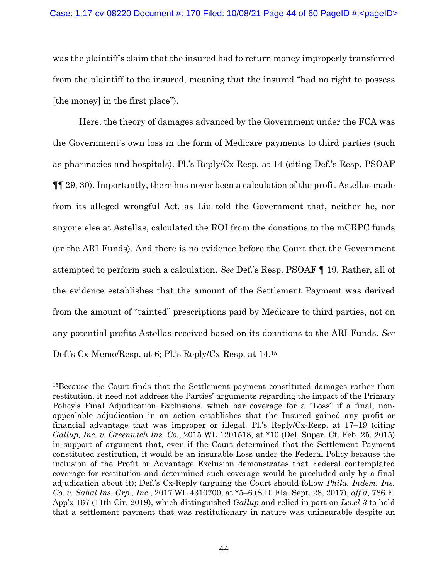was the plaintiff's claim that the insured had to return money improperly transferred from the plaintiff to the insured, meaning that the insured "had no right to possess [the money] in the first place").

Here, the theory of damages advanced by the Government under the FCA was the Government's own loss in the form of Medicare payments to third parties (such as pharmacies and hospitals). Pl.'s Reply/Cx-Resp. at 14 (citing Def.'s Resp. PSOAF ¶¶ 29, 30). Importantly, there has never been a calculation of the profit Astellas made from its alleged wrongful Act, as Liu told the Government that, neither he, nor anyone else at Astellas, calculated the ROI from the donations to the mCRPC funds (or the ARI Funds). And there is no evidence before the Court that the Government attempted to perform such a calculation. *See* Def.'s Resp. PSOAF ¶ 19. Rather, all of the evidence establishes that the amount of the Settlement Payment was derived from the amount of "tainted" prescriptions paid by Medicare to third parties, not on any potential profits Astellas received based on its donations to the ARI Funds. *See*  Def.'s Cx-Memo/Resp. at 6; Pl.'s Reply/Cx-Resp. at 14.15

<sup>&</sup>lt;sup>15</sup>Because the Court finds that the Settlement payment constituted damages rather than restitution, it need not address the Parties' arguments regarding the impact of the Primary Policy's Final Adjudication Exclusions, which bar coverage for a "Loss" if a final, nonappealable adjudication in an action establishes that the Insured gained any profit or financial advantage that was improper or illegal. Pl.'s Reply/Cx-Resp. at  $17-19$  (citing *Gallup, Inc. v. Greenwich Ins. Co.*, 2015 WL 1201518, at \*10 (Del. Super. Ct. Feb. 25, 2015) in support of argument that, even if the Court determined that the Settlement Payment constituted restitution, it would be an insurable Loss under the Federal Policy because the inclusion of the Profit or Advantage Exclusion demonstrates that Federal contemplated coverage for restitution and determined such coverage would be precluded only by a final adjudication about it); Def.'s Cx-Reply (arguing the Court should follow *Phila. Indem. Ins. Co. v. Sabal Ins. Grp., Inc.*, 2017 WL 4310700, at \*5–6 (S.D. Fla. Sept. 28, 2017), *aff'd,* 786 F. App'x 167 (11th Cir. 2019), which distinguished *Gallup* and relied in part on *Level 3* to hold that a settlement payment that was restitutionary in nature was uninsurable despite an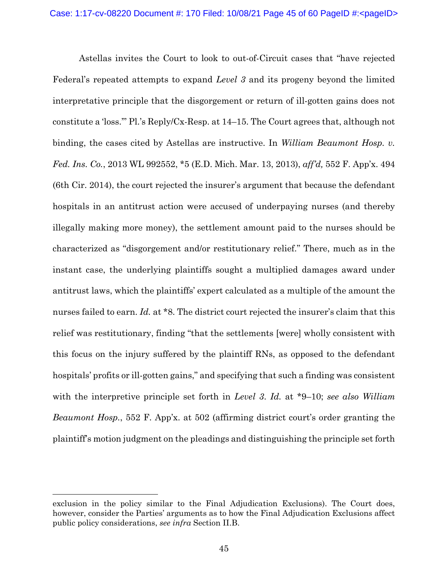Astellas invites the Court to look to out-of-Circuit cases that "have rejected Federal's repeated attempts to expand *Level 3* and its progeny beyond the limited interpretative principle that the disgorgement or return of ill-gotten gains does not constitute a 'loss.'" Pl.'s Reply/Cx-Resp. at 14–15. The Court agrees that, although not binding, the cases cited by Astellas are instructive. In *William Beaumont Hosp. v. Fed. Ins. Co.*, 2013 WL 992552, \*5 (E.D. Mich. Mar. 13, 2013), *aff'd,* 552 F. App'x. 494 (6th Cir. 2014), the court rejected the insurer's argument that because the defendant hospitals in an antitrust action were accused of underpaying nurses (and thereby illegally making more money), the settlement amount paid to the nurses should be characterized as "disgorgement and/or restitutionary relief." There, much as in the instant case, the underlying plaintiffs sought a multiplied damages award under antitrust laws, which the plaintiffs' expert calculated as a multiple of the amount the nurses failed to earn. *Id.* at \*8. The district court rejected the insurer's claim that this relief was restitutionary, finding "that the settlements [were] wholly consistent with this focus on the injury suffered by the plaintiff RNs, as opposed to the defendant hospitals' profits or ill-gotten gains," and specifying that such a finding was consistent with the interpretive principle set forth in *Level 3*. *Id.* at \*9–10; *see also William Beaumont Hosp.*, 552 F. App'x. at 502 (affirming district court's order granting the plaintiff's motion judgment on the pleadings and distinguishing the principle set forth

exclusion in the policy similar to the Final Adjudication Exclusions). The Court does, however, consider the Parties' arguments as to how the Final Adjudication Exclusions affect public policy considerations, *see infra* Section II.B.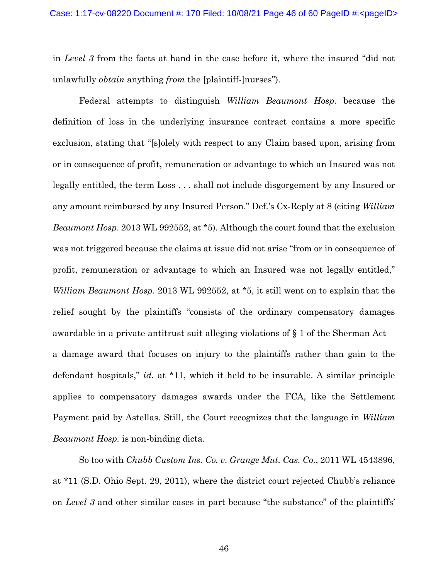in *Level 3* from the facts at hand in the case before it, where the insured "did not unlawfully *obtain* anything *from* the [plaintiff-]nurses").

Federal attempts to distinguish *William Beaumont Hosp.* because the definition of loss in the underlying insurance contract contains a more specific exclusion, stating that "[s]olely with respect to any Claim based upon, arising from or in consequence of profit, remuneration or advantage to which an Insured was not legally entitled, the term Loss . . . shall not include disgorgement by any Insured or any amount reimbursed by any Insured Person." Def.'s Cx-Reply at 8 (citing *William Beaumont Hosp*. 2013 WL 992552, at \*5). Although the court found that the exclusion was not triggered because the claims at issue did not arise "from or in consequence of profit, remuneration or advantage to which an Insured was not legally entitled," *William Beaumont Hosp*. 2013 WL 992552, at \*5, it still went on to explain that the relief sought by the plaintiffs "consists of the ordinary compensatory damages awardable in a private antitrust suit alleging violations of § 1 of the Sherman Act a damage award that focuses on injury to the plaintiffs rather than gain to the defendant hospitals," *id.* at \*11, which it held to be insurable. A similar principle applies to compensatory damages awards under the FCA, like the Settlement Payment paid by Astellas. Still, the Court recognizes that the language in *William Beaumont Hosp.* is non-binding dicta.

So too with *Chubb Custom Ins. Co. v. Grange Mut. Cas. Co.*, 2011 WL 4543896, at \*11 (S.D. Ohio Sept. 29, 2011), where the district court rejected Chubb's reliance on *Level 3* and other similar cases in part because "the substance" of the plaintiffs'

46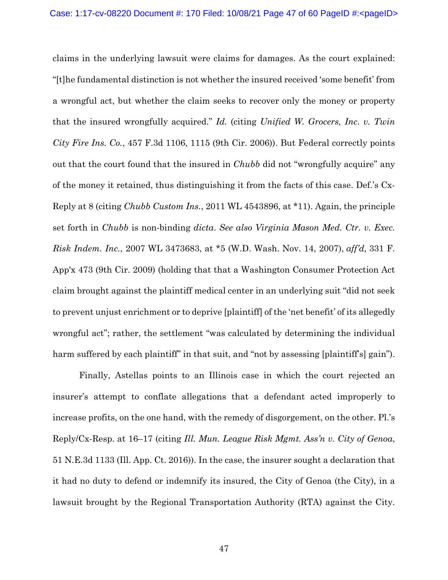claims in the underlying lawsuit were claims for damages. As the court explained: "[t]he fundamental distinction is not whether the insured received 'some benefit' from a wrongful act, but whether the claim seeks to recover only the money or property that the insured wrongfully acquired." *Id.* (citing *Unified W. Grocers, Inc. v. Twin City Fire Ins. Co.*, 457 F.3d 1106, 1115 (9th Cir. 2006)). But Federal correctly points out that the court found that the insured in *Chubb* did not "wrongfully acquire" any of the money it retained, thus distinguishing it from the facts of this case. Def.'s Cx-Reply at 8 (citing *Chubb Custom Ins.*, 2011 WL 4543896, at \*11). Again, the principle set forth in *Chubb* is non-binding *dicta*. *See also Virginia Mason Med. Ctr. v. Exec. Risk Indem. Inc.*, 2007 WL 3473683, at \*5 (W.D. Wash. Nov. 14, 2007), *aff'd,* 331 F. App'x 473 (9th Cir. 2009) (holding that that a Washington Consumer Protection Act claim brought against the plaintiff medical center in an underlying suit "did not seek to prevent unjust enrichment or to deprive [plaintiff] of the 'net benefit' of its allegedly wrongful act"; rather, the settlement "was calculated by determining the individual harm suffered by each plaintiff" in that suit, and "not by assessing [plaintiff's] gain").

Finally, Astellas points to an Illinois case in which the court rejected an insurer's attempt to conflate allegations that a defendant acted improperly to increase profits, on the one hand, with the remedy of disgorgement, on the other. Pl.'s Reply/Cx-Resp. at 16–17 (citing *Ill. Mun. League Risk Mgmt. Ass'n v. City of Genoa*, 51 N.E.3d 1133 (Ill. App. Ct. 2016)). In the case, the insurer sought a declaration that it had no duty to defend or indemnify its insured, the City of Genoa (the City), in a lawsuit brought by the Regional Transportation Authority (RTA) against the City.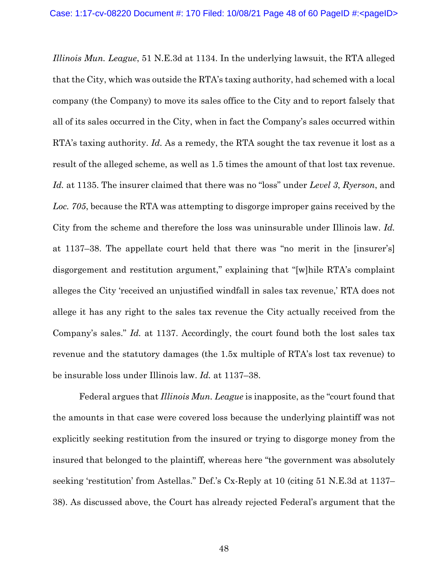*Illinois Mun. League*, 51 N.E.3d at 1134. In the underlying lawsuit, the RTA alleged that the City, which was outside the RTA's taxing authority, had schemed with a local company (the Company) to move its sales office to the City and to report falsely that all of its sales occurred in the City, when in fact the Company's sales occurred within RTA's taxing authority. *Id.* As a remedy, the RTA sought the tax revenue it lost as a result of the alleged scheme, as well as 1.5 times the amount of that lost tax revenue. *Id.* at 1135. The insurer claimed that there was no "loss" under *Level 3*, *Ryerson*, and *Loc. 705*, because the RTA was attempting to disgorge improper gains received by the City from the scheme and therefore the loss was uninsurable under Illinois law. *Id.* at 1137–38. The appellate court held that there was "no merit in the [insurer's] disgorgement and restitution argument," explaining that "[w]hile RTA's complaint alleges the City 'received an unjustified windfall in sales tax revenue,' RTA does not allege it has any right to the sales tax revenue the City actually received from the Company's sales." *Id.* at 1137. Accordingly, the court found both the lost sales tax revenue and the statutory damages (the 1.5x multiple of RTA's lost tax revenue) to be insurable loss under Illinois law. *Id.* at 1137–38.

Federal argues that *Illinois Mun. League* is inapposite, as the "court found that the amounts in that case were covered loss because the underlying plaintiff was not explicitly seeking restitution from the insured or trying to disgorge money from the insured that belonged to the plaintiff, whereas here "the government was absolutely seeking 'restitution' from Astellas." Def.'s Cx-Reply at 10 (citing 51 N.E.3d at 1137– 38). As discussed above, the Court has already rejected Federal's argument that the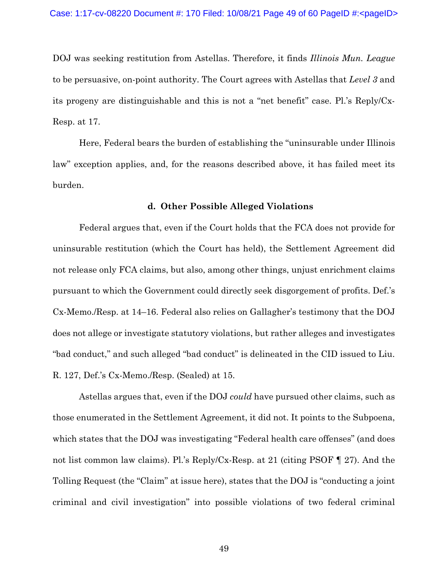DOJ was seeking restitution from Astellas. Therefore, it finds *Illinois Mun. League*  to be persuasive, on-point authority. The Court agrees with Astellas that *Level 3* and its progeny are distinguishable and this is not a "net benefit" case. Pl.'s Reply/Cx-Resp. at 17.

 Here, Federal bears the burden of establishing the "uninsurable under Illinois law" exception applies, and, for the reasons described above, it has failed meet its burden.

#### **d. Other Possible Alleged Violations**

Federal argues that, even if the Court holds that the FCA does not provide for uninsurable restitution (which the Court has held), the Settlement Agreement did not release only FCA claims, but also, among other things, unjust enrichment claims pursuant to which the Government could directly seek disgorgement of profits. Def.'s Cx-Memo./Resp. at 14–16. Federal also relies on Gallagher's testimony that the DOJ does not allege or investigate statutory violations, but rather alleges and investigates "bad conduct," and such alleged "bad conduct" is delineated in the CID issued to Liu. R. 127, Def.'s Cx-Memo./Resp. (Sealed) at 15.

Astellas argues that, even if the DOJ *could* have pursued other claims, such as those enumerated in the Settlement Agreement, it did not. It points to the Subpoena, which states that the DOJ was investigating "Federal health care offenses" (and does not list common law claims). Pl.'s Reply/Cx-Resp. at 21 (citing PSOF ¶ 27). And the Tolling Request (the "Claim" at issue here), states that the DOJ is "conducting a joint criminal and civil investigation" into possible violations of two federal criminal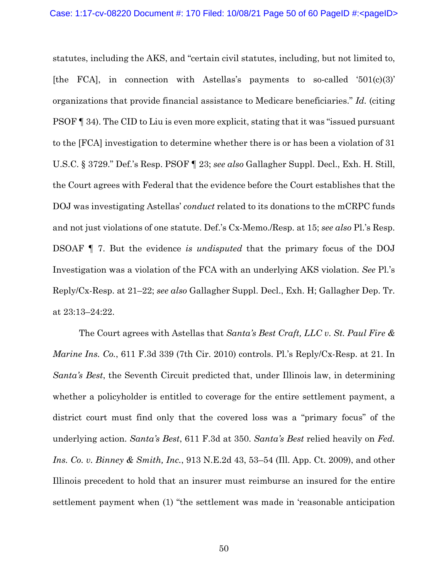statutes, including the AKS, and "certain civil statutes, including, but not limited to, [the FCA], in connection with Astellas's payments to so-called '501(c)(3)' organizations that provide financial assistance to Medicare beneficiaries." *Id.* (citing PSOF ¶ 34). The CID to Liu is even more explicit, stating that it was "issued pursuant to the [FCA] investigation to determine whether there is or has been a violation of 31 U.S.C. § 3729." Def.'s Resp. PSOF ¶ 23; *see also* Gallagher Suppl. Decl., Exh. H. Still, the Court agrees with Federal that the evidence before the Court establishes that the DOJ was investigating Astellas' *conduct* related to its donations to the mCRPC funds and not just violations of one statute. Def.'s Cx-Memo./Resp. at 15; *see also* Pl.'s Resp. DSOAF ¶ 7. But the evidence *is undisputed* that the primary focus of the DOJ Investigation was a violation of the FCA with an underlying AKS violation. *See* Pl.'s Reply/Cx-Resp. at 21–22; *see also* Gallagher Suppl. Decl., Exh. H; Gallagher Dep. Tr. at 23:13–24:22.

The Court agrees with Astellas that *Santa's Best Craft, LLC v. St. Paul Fire & Marine Ins. Co.*, 611 F.3d 339 (7th Cir. 2010) controls. Pl.'s Reply/Cx-Resp. at 21. In *Santa's Best*, the Seventh Circuit predicted that, under Illinois law, in determining whether a policyholder is entitled to coverage for the entire settlement payment, a district court must find only that the covered loss was a "primary focus" of the underlying action. *Santa's Best*, 611 F.3d at 350. *Santa's Best* relied heavily on *Fed. Ins. Co. v. Binney & Smith, Inc.*, 913 N.E.2d 43, 53–54 (Ill. App. Ct. 2009), and other Illinois precedent to hold that an insurer must reimburse an insured for the entire settlement payment when (1) "the settlement was made in 'reasonable anticipation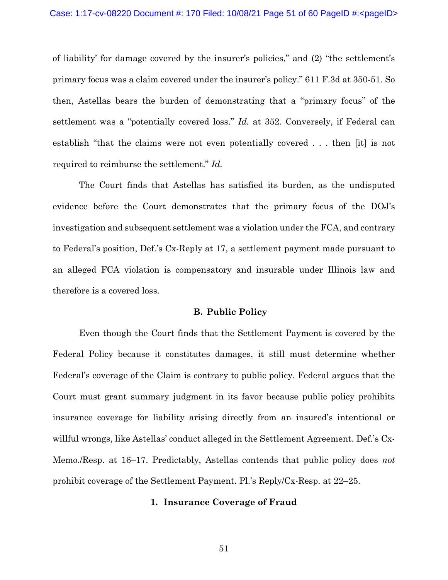of liability' for damage covered by the insurer's policies," and (2) "the settlement's primary focus was a claim covered under the insurer's policy." 611 F.3d at 350-51. So then, Astellas bears the burden of demonstrating that a "primary focus" of the settlement was a "potentially covered loss." *Id.* at 352. Conversely, if Federal can establish "that the claims were not even potentially covered . . . then [it] is not required to reimburse the settlement." *Id.*

 The Court finds that Astellas has satisfied its burden, as the undisputed evidence before the Court demonstrates that the primary focus of the DOJ's investigation and subsequent settlement was a violation under the FCA, and contrary to Federal's position, Def.'s Cx-Reply at 17, a settlement payment made pursuant to an alleged FCA violation is compensatory and insurable under Illinois law and therefore is a covered loss.

### **B. Public Policy**

Even though the Court finds that the Settlement Payment is covered by the Federal Policy because it constitutes damages, it still must determine whether Federal's coverage of the Claim is contrary to public policy. Federal argues that the Court must grant summary judgment in its favor because public policy prohibits insurance coverage for liability arising directly from an insured's intentional or willful wrongs, like Astellas' conduct alleged in the Settlement Agreement. Def.'s Cx-Memo./Resp. at 16–17. Predictably, Astellas contends that public policy does *not* prohibit coverage of the Settlement Payment. Pl.'s Reply/Cx-Resp. at 22–25.

#### **1. Insurance Coverage of Fraud**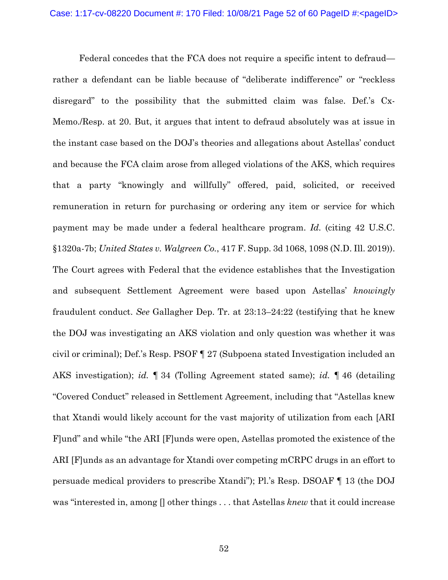Federal concedes that the FCA does not require a specific intent to defraud rather a defendant can be liable because of "deliberate indifference" or "reckless disregard" to the possibility that the submitted claim was false. Def.'s Cx-Memo./Resp. at 20. But, it argues that intent to defraud absolutely was at issue in the instant case based on the DOJ's theories and allegations about Astellas' conduct and because the FCA claim arose from alleged violations of the AKS, which requires that a party "knowingly and willfully" offered, paid, solicited, or received remuneration in return for purchasing or ordering any item or service for which payment may be made under a federal healthcare program. *Id.* (citing 42 U.S.C. §1320a-7b; *United States v. Walgreen Co.*, 417 F. Supp. 3d 1068, 1098 (N.D. Ill. 2019)). The Court agrees with Federal that the evidence establishes that the Investigation and subsequent Settlement Agreement were based upon Astellas' *knowingly* fraudulent conduct. *See* Gallagher Dep. Tr. at 23:13–24:22 (testifying that he knew the DOJ was investigating an AKS violation and only question was whether it was civil or criminal); Def.'s Resp. PSOF ¶ 27 (Subpoena stated Investigation included an AKS investigation); *id.* ¶ 34 (Tolling Agreement stated same); *id.* ¶ 46 (detailing "Covered Conduct" released in Settlement Agreement, including that "Astellas knew that Xtandi would likely account for the vast majority of utilization from each [ARI F]und" and while "the ARI [F]unds were open, Astellas promoted the existence of the ARI [F]unds as an advantage for Xtandi over competing mCRPC drugs in an effort to persuade medical providers to prescribe Xtandi"); Pl.'s Resp. DSOAF ¶ 13 (the DOJ was "interested in, among [] other things . . . that Astellas *knew* that it could increase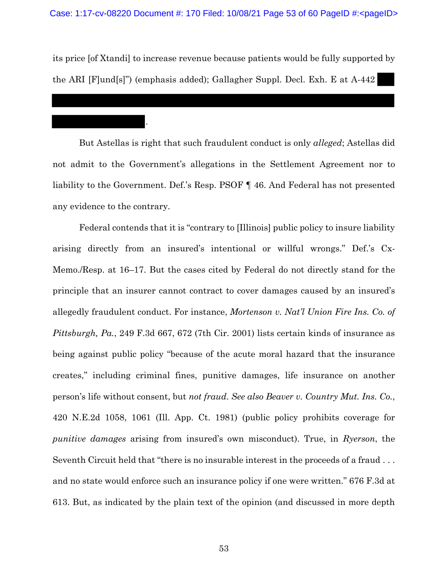its price [of Xtandi] to increase revenue because patients would be fully supported by the ARI [F]und[s]") (emphasis added); Gallagher Suppl. Decl. Exh. E at A-442

.

But Astellas is right that such fraudulent conduct is only *alleged*; Astellas did not admit to the Government's allegations in the Settlement Agreement nor to liability to the Government. Def.'s Resp. PSOF ¶ 46. And Federal has not presented any evidence to the contrary.

Federal contends that it is "contrary to [Illinois] public policy to insure liability arising directly from an insured's intentional or willful wrongs." Def.'s Cx-Memo./Resp. at 16–17. But the cases cited by Federal do not directly stand for the principle that an insurer cannot contract to cover damages caused by an insured's allegedly fraudulent conduct. For instance, *Mortenson v. Nat'l Union Fire Ins. Co. of Pittsburgh, Pa.*, 249 F.3d 667, 672 (7th Cir. 2001) lists certain kinds of insurance as being against public policy "because of the acute moral hazard that the insurance creates," including criminal fines, punitive damages, life insurance on another person's life without consent, but *not fraud*. *See also Beaver v. Country Mut. Ins. Co.*, 420 N.E.2d 1058, 1061 (Ill. App. Ct. 1981) (public policy prohibits coverage for *punitive damages* arising from insured's own misconduct). True, in *Ryerson*, the Seventh Circuit held that "there is no insurable interest in the proceeds of a fraud . . . and no state would enforce such an insurance policy if one were written." 676 F.3d at 613. But, as indicated by the plain text of the opinion (and discussed in more depth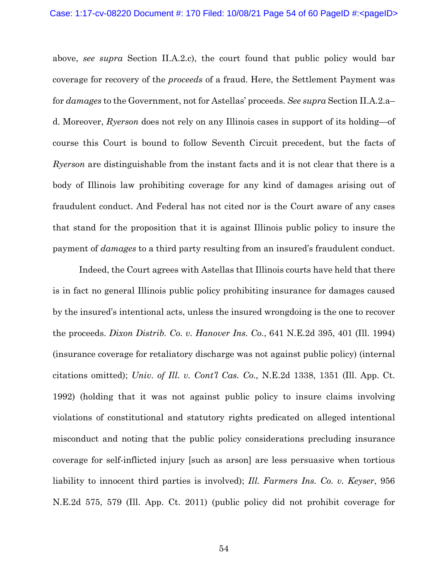above, *see supra* Section II.A.2.c), the court found that public policy would bar coverage for recovery of the *proceeds* of a fraud. Here, the Settlement Payment was for *damages* to the Government, not for Astellas' proceeds. *See supra* Section II.A.2.a– d. Moreover, *Ryerson* does not rely on any Illinois cases in support of its holding—of course this Court is bound to follow Seventh Circuit precedent, but the facts of *Ryerson* are distinguishable from the instant facts and it is not clear that there is a body of Illinois law prohibiting coverage for any kind of damages arising out of fraudulent conduct. And Federal has not cited nor is the Court aware of any cases that stand for the proposition that it is against Illinois public policy to insure the payment of *damages* to a third party resulting from an insured's fraudulent conduct.

Indeed, the Court agrees with Astellas that Illinois courts have held that there is in fact no general Illinois public policy prohibiting insurance for damages caused by the insured's intentional acts, unless the insured wrongdoing is the one to recover the proceeds. *Dixon Distrib. Co. v. Hanover Ins. Co.*, 641 N.E.2d 395, 401 (Ill. 1994) (insurance coverage for retaliatory discharge was not against public policy) (internal citations omitted); *Univ. of Ill. v. Cont'l Cas. Co.,* N.E.2d 1338, 1351 (Ill. App. Ct. 1992) (holding that it was not against public policy to insure claims involving violations of constitutional and statutory rights predicated on alleged intentional misconduct and noting that the public policy considerations precluding insurance coverage for self-inflicted injury [such as arson] are less persuasive when tortious liability to innocent third parties is involved); *Ill. Farmers Ins. Co. v. Keyser*, 956 N.E.2d 575, 579 (Ill. App. Ct. 2011) (public policy did not prohibit coverage for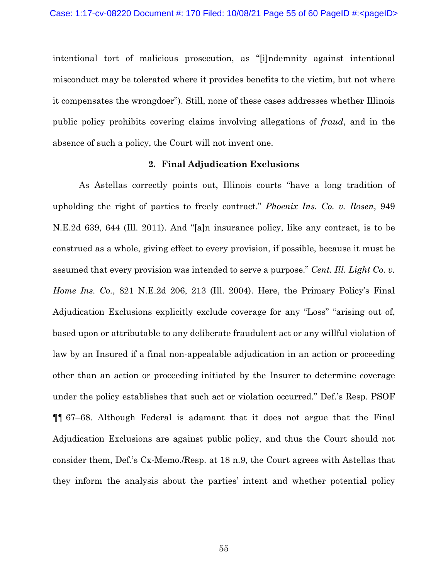intentional tort of malicious prosecution, as "[i]ndemnity against intentional misconduct may be tolerated where it provides benefits to the victim, but not where it compensates the wrongdoer"). Still, none of these cases addresses whether Illinois public policy prohibits covering claims involving allegations of *fraud*, and in the absence of such a policy, the Court will not invent one.

### **2. Final Adjudication Exclusions**

As Astellas correctly points out, Illinois courts "have a long tradition of upholding the right of parties to freely contract." *Phoenix Ins. Co. v. Rosen*, 949 N.E.2d 639, 644 (Ill. 2011). And "[a]n insurance policy, like any contract, is to be construed as a whole, giving effect to every provision, if possible, because it must be assumed that every provision was intended to serve a purpose." *Cent. Ill. Light Co. v. Home Ins. Co.*, 821 N.E.2d 206, 213 (Ill. 2004). Here, the Primary Policy's Final Adjudication Exclusions explicitly exclude coverage for any "Loss" "arising out of, based upon or attributable to any deliberate fraudulent act or any willful violation of law by an Insured if a final non-appealable adjudication in an action or proceeding other than an action or proceeding initiated by the Insurer to determine coverage under the policy establishes that such act or violation occurred." Def.'s Resp. PSOF ¶¶ 67–68. Although Federal is adamant that it does not argue that the Final Adjudication Exclusions are against public policy, and thus the Court should not consider them, Def.'s Cx-Memo./Resp. at 18 n.9, the Court agrees with Astellas that they inform the analysis about the parties' intent and whether potential policy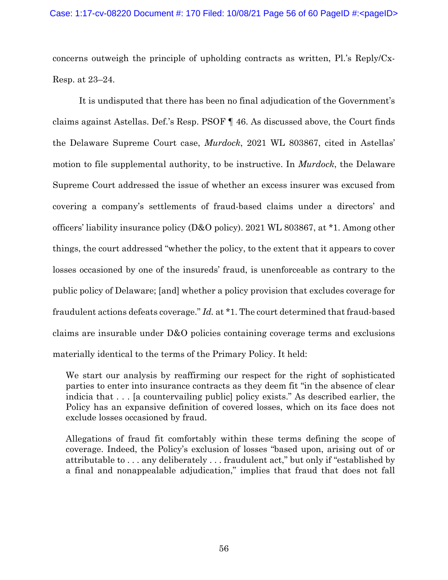concerns outweigh the principle of upholding contracts as written, Pl.'s Reply/Cx-Resp. at 23–24.

It is undisputed that there has been no final adjudication of the Government's claims against Astellas. Def.'s Resp. PSOF ¶ 46. As discussed above, the Court finds the Delaware Supreme Court case, *Murdock*, 2021 WL 803867, cited in Astellas' motion to file supplemental authority, to be instructive. In *Murdock*, the Delaware Supreme Court addressed the issue of whether an excess insurer was excused from covering a company's settlements of fraud-based claims under a directors' and officers' liability insurance policy (D&O policy). 2021 WL 803867, at \*1. Among other things, the court addressed "whether the policy, to the extent that it appears to cover losses occasioned by one of the insureds' fraud, is unenforceable as contrary to the public policy of Delaware; [and] whether a policy provision that excludes coverage for fraudulent actions defeats coverage." *Id.* at \*1. The court determined that fraud-based claims are insurable under D&O policies containing coverage terms and exclusions materially identical to the terms of the Primary Policy. It held:

We start our analysis by reaffirming our respect for the right of sophisticated parties to enter into insurance contracts as they deem fit "in the absence of clear indicia that . . . [a countervailing public] policy exists." As described earlier, the Policy has an expansive definition of covered losses, which on its face does not exclude losses occasioned by fraud.

Allegations of fraud fit comfortably within these terms defining the scope of coverage. Indeed, the Policy's exclusion of losses "based upon, arising out of or attributable to . . . any deliberately . . . fraudulent act," but only if "established by a final and nonappealable adjudication," implies that fraud that does not fall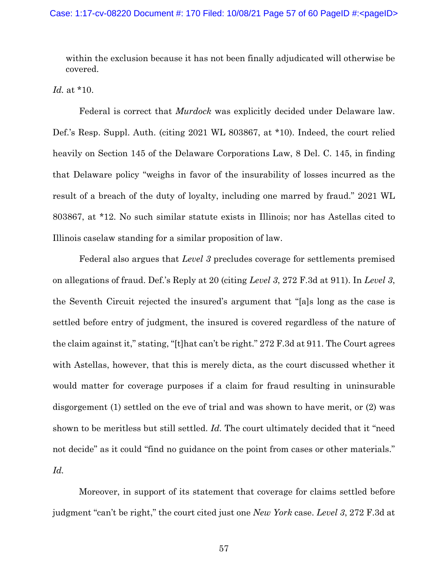within the exclusion because it has not been finally adjudicated will otherwise be covered.

*Id.* at \*10.

 Federal is correct that *Murdock* was explicitly decided under Delaware law. Def.'s Resp. Suppl. Auth. (citing 2021 WL 803867, at \*10). Indeed, the court relied heavily on Section 145 of the Delaware Corporations Law, 8 Del. C. 145, in finding that Delaware policy "weighs in favor of the insurability of losses incurred as the result of a breach of the duty of loyalty, including one marred by fraud." 2021 WL 803867, at \*12. No such similar statute exists in Illinois; nor has Astellas cited to Illinois caselaw standing for a similar proposition of law.

 Federal also argues that *Level 3* precludes coverage for settlements premised on allegations of fraud. Def.'s Reply at 20 (citing *Level 3*, 272 F.3d at 911). In *Level 3*, the Seventh Circuit rejected the insured's argument that "[a]s long as the case is settled before entry of judgment, the insured is covered regardless of the nature of the claim against it," stating, "[t]hat can't be right." 272 F.3d at 911. The Court agrees with Astellas, however, that this is merely dicta, as the court discussed whether it would matter for coverage purposes if a claim for fraud resulting in uninsurable disgorgement (1) settled on the eve of trial and was shown to have merit, or (2) was shown to be meritless but still settled. *Id.* The court ultimately decided that it "need not decide" as it could "find no guidance on the point from cases or other materials." *Id.*

Moreover, in support of its statement that coverage for claims settled before judgment "can't be right," the court cited just one *New York* case. *Level 3*, 272 F.3d at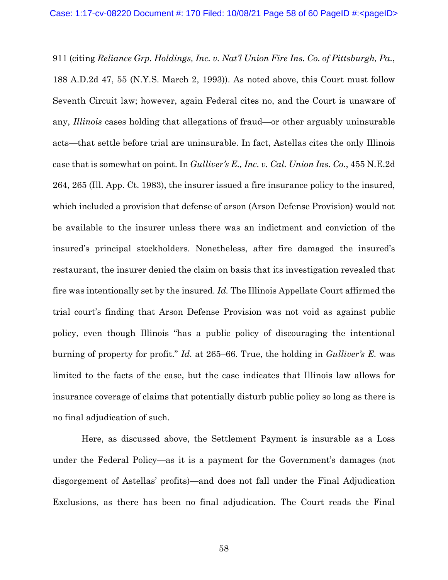911 (citing *Reliance Grp. Holdings, Inc. v. Nat'l Union Fire Ins. Co. of Pittsburgh, Pa.*, 188 A.D.2d 47, 55 (N.Y.S. March 2, 1993)). As noted above, this Court must follow Seventh Circuit law; however, again Federal cites no, and the Court is unaware of any, *Illinois* cases holding that allegations of fraud—or other arguably uninsurable acts—that settle before trial are uninsurable. In fact, Astellas cites the only Illinois case that is somewhat on point. In *Gulliver's E., Inc. v. Cal. Union Ins. Co.*, 455 N.E.2d 264, 265 (Ill. App. Ct. 1983), the insurer issued a fire insurance policy to the insured, which included a provision that defense of arson (Arson Defense Provision) would not be available to the insurer unless there was an indictment and conviction of the insured's principal stockholders. Nonetheless, after fire damaged the insured's restaurant, the insurer denied the claim on basis that its investigation revealed that fire was intentionally set by the insured. *Id.* The Illinois Appellate Court affirmed the trial court's finding that Arson Defense Provision was not void as against public policy, even though Illinois "has a public policy of discouraging the intentional burning of property for profit." *Id.* at 265–66. True, the holding in *Gulliver's E.* was limited to the facts of the case, but the case indicates that Illinois law allows for insurance coverage of claims that potentially disturb public policy so long as there is no final adjudication of such.

 Here, as discussed above, the Settlement Payment is insurable as a Loss under the Federal Policy—as it is a payment for the Government's damages (not disgorgement of Astellas' profits)—and does not fall under the Final Adjudication Exclusions, as there has been no final adjudication. The Court reads the Final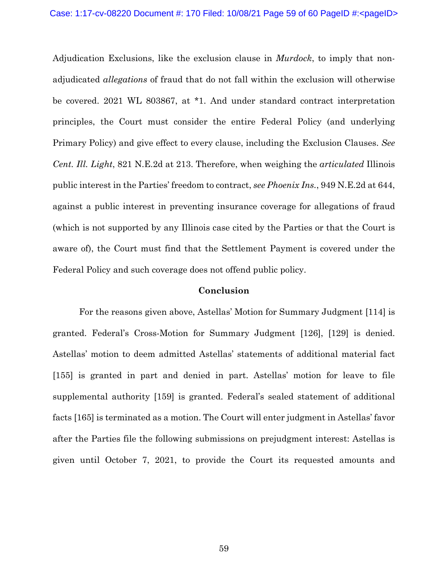Adjudication Exclusions, like the exclusion clause in *Murdock*, to imply that nonadjudicated *allegations* of fraud that do not fall within the exclusion will otherwise be covered. 2021 WL 803867, at \*1. And under standard contract interpretation principles, the Court must consider the entire Federal Policy (and underlying Primary Policy) and give effect to every clause, including the Exclusion Clauses. *See Cent. Ill. Light*, 821 N.E.2d at 213. Therefore, when weighing the *articulated* Illinois public interest in the Parties' freedom to contract, *see Phoenix Ins.*, 949 N.E.2d at 644, against a public interest in preventing insurance coverage for allegations of fraud (which is not supported by any Illinois case cited by the Parties or that the Court is aware of), the Court must find that the Settlement Payment is covered under the Federal Policy and such coverage does not offend public policy.

## **Conclusion**

 For the reasons given above, Astellas' Motion for Summary Judgment [114] is granted. Federal's Cross-Motion for Summary Judgment [126], [129] is denied. Astellas' motion to deem admitted Astellas' statements of additional material fact [155] is granted in part and denied in part. Astellas' motion for leave to file supplemental authority [159] is granted. Federal's sealed statement of additional facts [165] is terminated as a motion. The Court will enter judgment in Astellas' favor after the Parties file the following submissions on prejudgment interest: Astellas is given until October 7, 2021, to provide the Court its requested amounts and